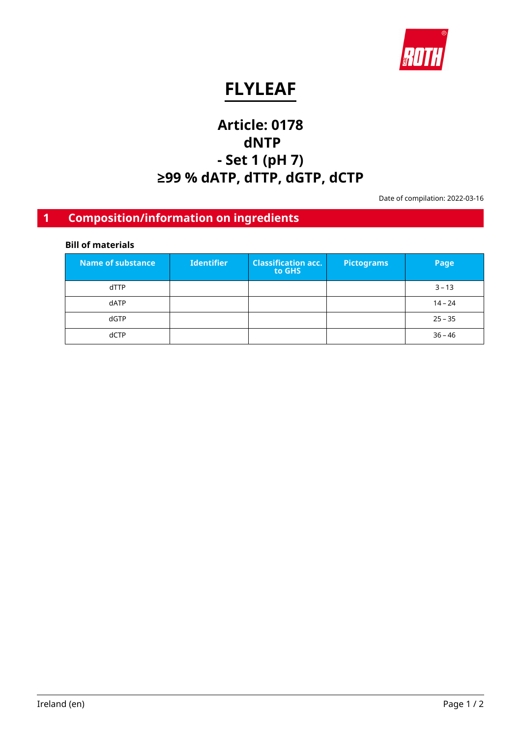

# **FLYLEAF**

# **Article: 0178 dNTP - Set 1 (pH 7) ≥99 % dATP, dTTP, dGTP, dCTP**

Date of compilation: 2022-03-16

# **1 Composition/information on ingredients**

### **Bill of materials**

| Name of substance | <b>Identifier</b> | <b>Classification acc.</b><br>to GHS | <b>Pictograms</b> | Page      |
|-------------------|-------------------|--------------------------------------|-------------------|-----------|
| dTTP              |                   |                                      |                   | $3 - 13$  |
| dATP              |                   |                                      |                   | $14 - 24$ |
| dGTP              |                   |                                      |                   | $25 - 35$ |
| dCTP              |                   |                                      |                   | $36 - 46$ |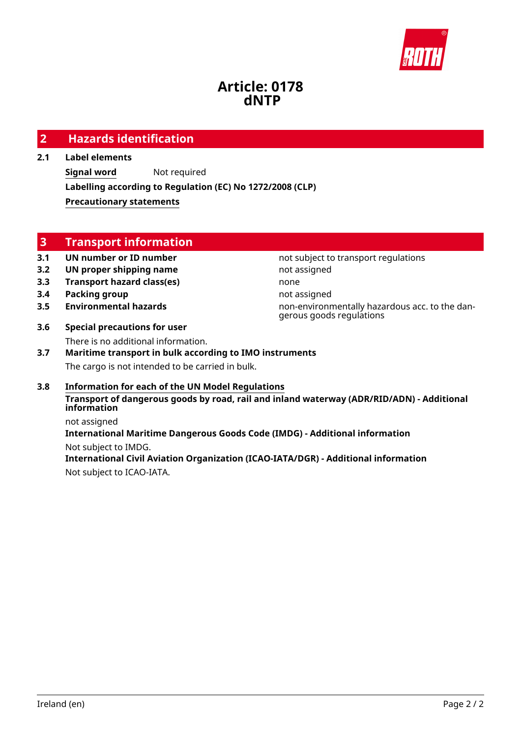

## **Article: 0178 dNTP**

### **2 Hazards identification**

#### **2.1 Label elements**

**Signal word** Not required **Labelling according to Regulation (EC) No 1272/2008 (CLP) Precautionary statements**

### **3 Transport information**

### **3.1 UN number or ID number not subject to transport regulations**

- **3.2 UN proper shipping name** not assigned
- **3.3 Transport hazard class(es)** none
- **3.4 Packing group not assigned**
- 
- **3.6 Special precautions for user** There is no additional information.

**3.5 Environmental hazards non-environmentally hazardous acc. to the dan**gerous goods regulations

### **3.7 Maritime transport in bulk according to IMO instruments** The cargo is not intended to be carried in bulk.

#### **3.8 Information for each of the UN Model Regulations Transport of dangerous goods by road, rail and inland waterway (ADR/RID/ADN) - Additional information**

not assigned **International Maritime Dangerous Goods Code (IMDG) - Additional information** Not subject to IMDG.

**International Civil Aviation Organization (ICAO-IATA/DGR) - Additional information** Not subject to ICAO-IATA.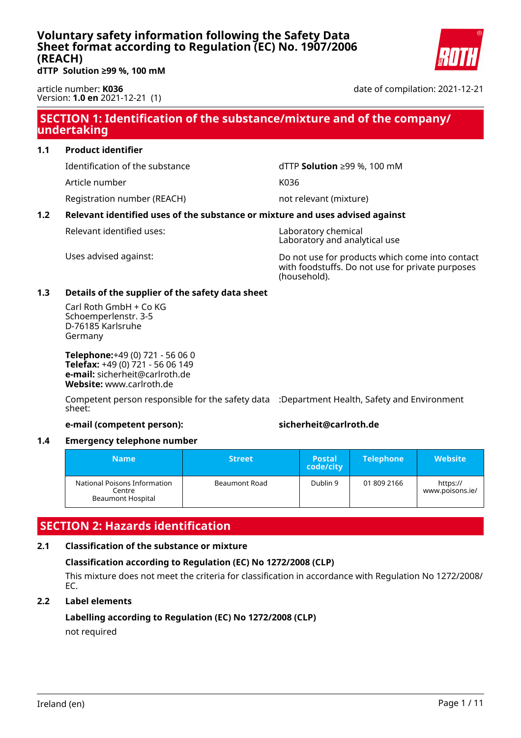<span id="page-2-0"></span>**dTTP Solution ≥99 %, 100 mM**

article number: **K036** Version: **1.0 en** 2021-12-21 (1) date of compilation: 2021-12-21

### **SECTION 1: Identification of the substance/mixture and of the company/ undertaking**

#### **1.1 Product identifier**

Identification of the substance dTTP **Solution** ≥99 %, 100 mM

Article number K036

Registration number (REACH) not relevant (mixture)

### **1.2 Relevant identified uses of the substance or mixture and uses advised against**

Relevant identified uses: Naboratory chemical

Laboratory and analytical use

Uses advised against: Do not use for products which come into contact with foodstuffs. Do not use for private purposes (household).

#### **1.3 Details of the supplier of the safety data sheet**

Carl Roth GmbH + Co KG Schoemperlenstr. 3-5 D-76185 Karlsruhe Germany

**Telephone:**+49 (0) 721 - 56 06 0 **Telefax:** +49 (0) 721 - 56 06 149 **e-mail:** sicherheit@carlroth.de **Website:** www.carlroth.de

Competent person responsible for the safety data :Department Health, Safety and Environment sheet:

#### **e-mail (competent person): sicherheit@carlroth.de**

#### **1.4 Emergency telephone number**

| <b>Name</b>                                                        | <b>Street</b> | <b>Postal</b><br>code/city | <b>Telephone</b> | Website'                    |
|--------------------------------------------------------------------|---------------|----------------------------|------------------|-----------------------------|
| National Poisons Information<br>Centre<br><b>Beaumont Hospital</b> | Beaumont Road | Dublin 9                   | 01 809 2166      | https://<br>www.poisons.ie/ |

### **SECTION 2: Hazards identification**

#### **2.1 Classification of the substance or mixture**

### **Classification according to Regulation (EC) No 1272/2008 (CLP)**

This mixture does not meet the criteria for classification in accordance with Regulation No 1272/2008/ EC.

#### **2.2 Label elements**

#### **Labelling according to Regulation (EC) No 1272/2008 (CLP)** not required

Ireland (en) Page 1 / 11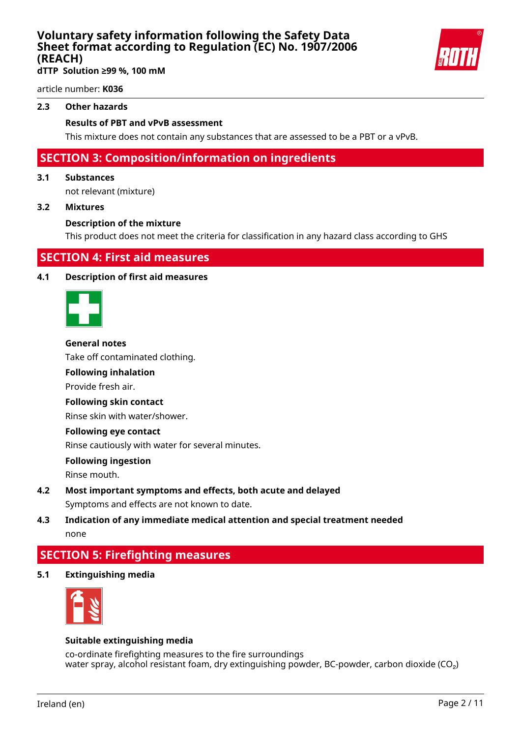

**dTTP Solution ≥99 %, 100 mM**

article number: **K036**

#### **2.3 Other hazards**

#### **Results of PBT and vPvB assessment**

This mixture does not contain any substances that are assessed to be a PBT or a vPvB.

### **SECTION 3: Composition/information on ingredients**

#### **3.1 Substances**

not relevant (mixture)

#### **3.2 Mixtures**

#### **Description of the mixture**

This product does not meet the criteria for classification in any hazard class according to GHS

### **SECTION 4: First aid measures**

#### **4.1 Description of first aid measures**



#### **General notes**

Take off contaminated clothing.

#### **Following inhalation**

Provide fresh air.

#### **Following skin contact**

Rinse skin with water/shower.

#### **Following eye contact**

Rinse cautiously with water for several minutes.

#### **Following ingestion**

Rinse mouth.

- **4.2 Most important symptoms and effects, both acute and delayed** Symptoms and effects are not known to date.
- **4.3 Indication of any immediate medical attention and special treatment needed** none

### **SECTION 5: Firefighting measures**

**5.1 Extinguishing media**



#### **Suitable extinguishing media**

co-ordinate firefighting measures to the fire surroundings water spray, alcohol resistant foam, dry extinguishing powder, BC-powder, carbon dioxide ( $CO<sub>2</sub>$ )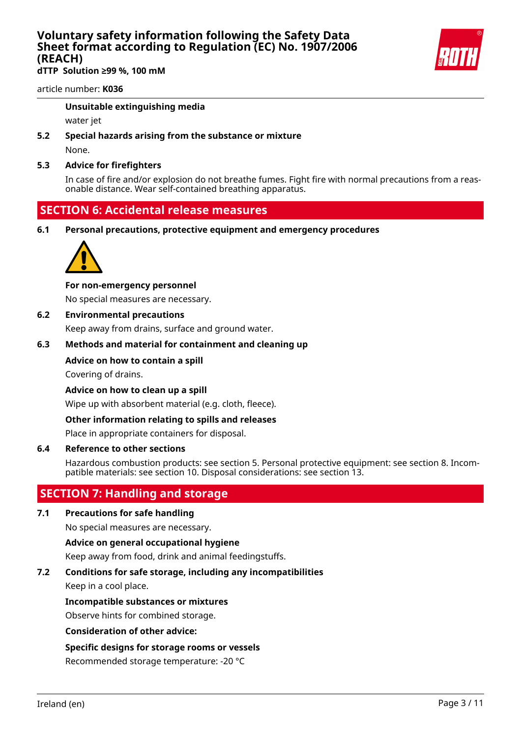**dTTP Solution ≥99 %, 100 mM**

article number: **K036**

#### **Unsuitable extinguishing media**

water jet

**5.2 Special hazards arising from the substance or mixture**

None.

#### **5.3 Advice for firefighters**

In case of fire and/or explosion do not breathe fumes. Fight fire with normal precautions from a reasonable distance. Wear self-contained breathing apparatus.

### **SECTION 6: Accidental release measures**

**6.1 Personal precautions, protective equipment and emergency procedures**



#### **For non-emergency personnel**

No special measures are necessary.

#### **6.2 Environmental precautions**

Keep away from drains, surface and ground water.

#### **6.3 Methods and material for containment and cleaning up**

#### **Advice on how to contain a spill**

Covering of drains.

**Advice on how to clean up a spill**

Wipe up with absorbent material (e.g. cloth, fleece).

#### **Other information relating to spills and releases**

Place in appropriate containers for disposal.

#### **6.4 Reference to other sections**

Hazardous combustion products: see section 5. Personal protective equipment: see section 8. Incompatible materials: see section 10. Disposal considerations: see section 13.

### **SECTION 7: Handling and storage**

#### **7.1 Precautions for safe handling**

No special measures are necessary.

#### **Advice on general occupational hygiene**

Keep away from food, drink and animal feedingstuffs.

#### **7.2 Conditions for safe storage, including any incompatibilities**

Keep in a cool place.

#### **Incompatible substances or mixtures**

Observe hints for combined storage.

#### **Consideration of other advice:**

#### **Specific designs for storage rooms or vessels**

Recommended storage temperature: -20 °C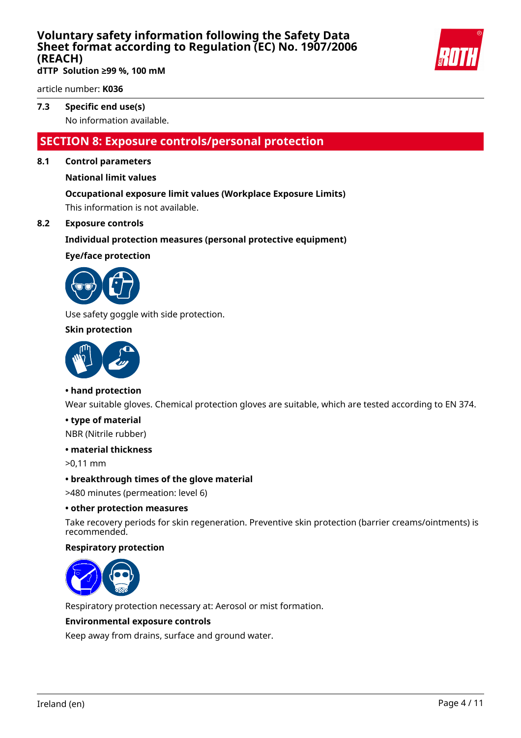

**dTTP Solution ≥99 %, 100 mM**

article number: **K036**

### **7.3 Specific end use(s)**

No information available.

### **SECTION 8: Exposure controls/personal protection**

#### **8.1 Control parameters**

#### **National limit values**

#### **Occupational exposure limit values (Workplace Exposure Limits)**

This information is not available.

#### **8.2 Exposure controls**

#### **Individual protection measures (personal protective equipment)**

#### **Eye/face protection**



Use safety goggle with side protection.

#### **Skin protection**



#### **• hand protection**

Wear suitable gloves. Chemical protection gloves are suitable, which are tested according to EN 374.

#### **• type of material**

NBR (Nitrile rubber)

#### **• material thickness**

>0,11 mm

#### **• breakthrough times of the glove material**

>480 minutes (permeation: level 6)

#### **• other protection measures**

Take recovery periods for skin regeneration. Preventive skin protection (barrier creams/ointments) is recommended.

#### **Respiratory protection**



Respiratory protection necessary at: Aerosol or mist formation.

#### **Environmental exposure controls**

Keep away from drains, surface and ground water.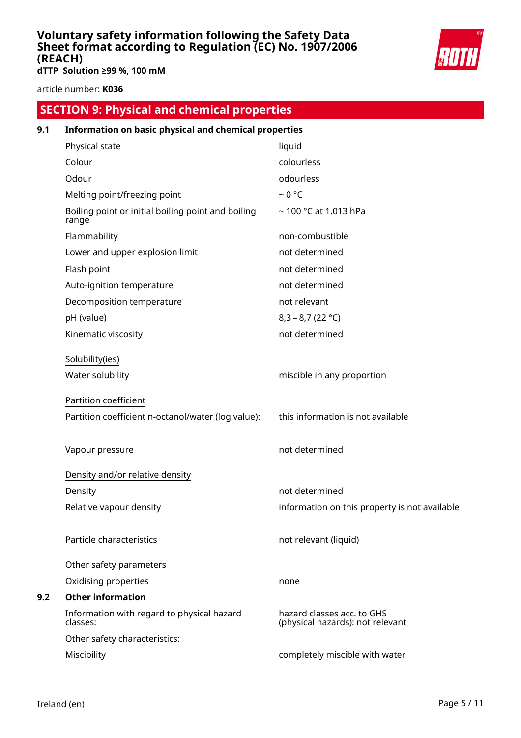

**dTTP Solution ≥99 %, 100 mM**

article number: **K036**

# **SECTION 9: Physical and chemical properties**

| 9.1 | Information on basic physical and chemical properties       |                                                                |  |  |
|-----|-------------------------------------------------------------|----------------------------------------------------------------|--|--|
|     | Physical state                                              | liquid                                                         |  |  |
|     | Colour                                                      | colourless                                                     |  |  |
|     | Odour                                                       | odourless                                                      |  |  |
|     | Melting point/freezing point                                | $~0$ °C                                                        |  |  |
|     | Boiling point or initial boiling point and boiling<br>range | ~100 °C at 1.013 hPa                                           |  |  |
|     | Flammability                                                | non-combustible                                                |  |  |
|     | Lower and upper explosion limit                             | not determined                                                 |  |  |
|     | Flash point                                                 | not determined                                                 |  |  |
|     | Auto-ignition temperature                                   | not determined                                                 |  |  |
|     | Decomposition temperature                                   | not relevant                                                   |  |  |
|     | pH (value)                                                  | $8,3 - 8,7 (22 °C)$                                            |  |  |
|     | Kinematic viscosity                                         | not determined                                                 |  |  |
|     | Solubility(ies)                                             |                                                                |  |  |
|     | Water solubility                                            | miscible in any proportion                                     |  |  |
|     | Partition coefficient                                       |                                                                |  |  |
|     | Partition coefficient n-octanol/water (log value):          | this information is not available                              |  |  |
|     | Vapour pressure                                             | not determined                                                 |  |  |
|     | Density and/or relative density                             |                                                                |  |  |
|     | Density                                                     | not determined                                                 |  |  |
|     | Relative vapour density                                     | information on this property is not available                  |  |  |
|     | Particle characteristics                                    | not relevant (liquid)                                          |  |  |
|     | Other safety parameters                                     |                                                                |  |  |
|     | Oxidising properties                                        | none                                                           |  |  |
| 9.2 | <b>Other information</b>                                    |                                                                |  |  |
|     | Information with regard to physical hazard<br>classes:      | hazard classes acc. to GHS<br>(physical hazards): not relevant |  |  |
|     | Other safety characteristics:                               |                                                                |  |  |
|     | Miscibility                                                 | completely miscible with water                                 |  |  |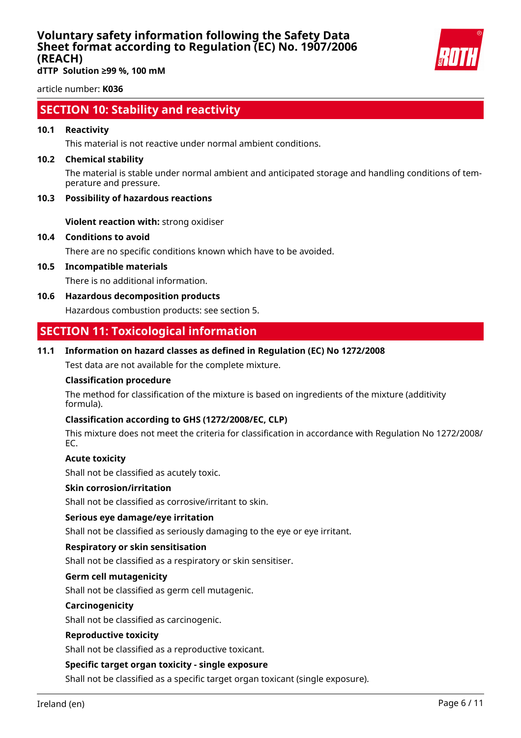

**dTTP Solution ≥99 %, 100 mM**

article number: **K036**

### **SECTION 10: Stability and reactivity**

#### **10.1 Reactivity**

This material is not reactive under normal ambient conditions.

#### **10.2 Chemical stability**

The material is stable under normal ambient and anticipated storage and handling conditions of temperature and pressure.

#### **10.3 Possibility of hazardous reactions**

**Violent reaction with:** strong oxidiser

#### **10.4 Conditions to avoid**

There are no specific conditions known which have to be avoided.

**10.5 Incompatible materials**

There is no additional information.

**10.6 Hazardous decomposition products**

Hazardous combustion products: see section 5.

### **SECTION 11: Toxicological information**

#### **11.1 Information on hazard classes as defined in Regulation (EC) No 1272/2008**

Test data are not available for the complete mixture.

#### **Classification procedure**

The method for classification of the mixture is based on ingredients of the mixture (additivity formula).

#### **Classification according to GHS (1272/2008/EC, CLP)**

This mixture does not meet the criteria for classification in accordance with Regulation No 1272/2008/ EC.

#### **Acute toxicity**

Shall not be classified as acutely toxic.

#### **Skin corrosion/irritation**

Shall not be classified as corrosive/irritant to skin.

#### **Serious eye damage/eye irritation**

Shall not be classified as seriously damaging to the eye or eye irritant.

#### **Respiratory or skin sensitisation**

Shall not be classified as a respiratory or skin sensitiser.

#### **Germ cell mutagenicity**

Shall not be classified as germ cell mutagenic.

#### **Carcinogenicity**

Shall not be classified as carcinogenic.

#### **Reproductive toxicity**

Shall not be classified as a reproductive toxicant.

#### **Specific target organ toxicity - single exposure**

Shall not be classified as a specific target organ toxicant (single exposure).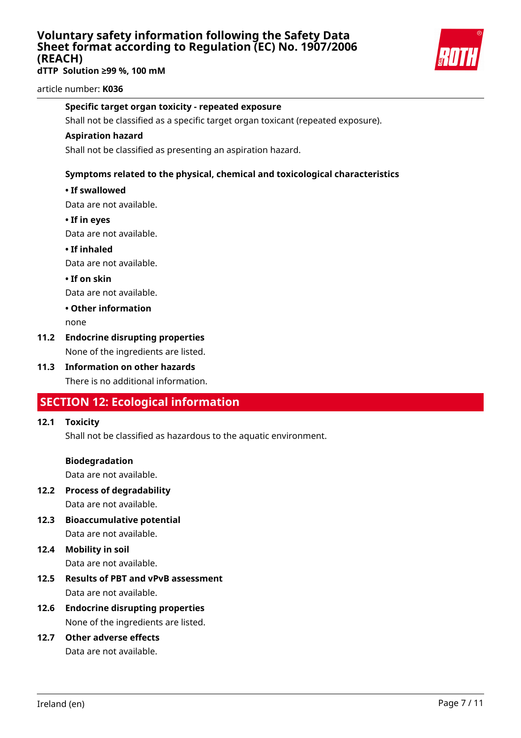**dTTP Solution ≥99 %, 100 mM**



article number: **K036**

#### **Specific target organ toxicity - repeated exposure**

Shall not be classified as a specific target organ toxicant (repeated exposure).

#### **Aspiration hazard**

Shall not be classified as presenting an aspiration hazard.

#### **Symptoms related to the physical, chemical and toxicological characteristics**

#### **• If swallowed**

Data are not available.

**• If in eyes**

Data are not available.

**• If inhaled**

Data are not available.

**• If on skin**

Data are not available.

#### **• Other information**

none

### **11.2 Endocrine disrupting properties**

None of the ingredients are listed.

**11.3 Information on other hazards** There is no additional information.

### **SECTION 12: Ecological information**

#### **12.1 Toxicity**

Shall not be classified as hazardous to the aquatic environment.

#### **Biodegradation**

Data are not available.

- **12.2 Process of degradability** Data are not available.
- **12.3 Bioaccumulative potential** Data are not available.

# **12.4 Mobility in soil**

Data are not available.

- **12.5 Results of PBT and vPvB assessment** Data are not available.
- **12.6 Endocrine disrupting properties** None of the ingredients are listed.

## **12.7 Other adverse effects**

Data are not available.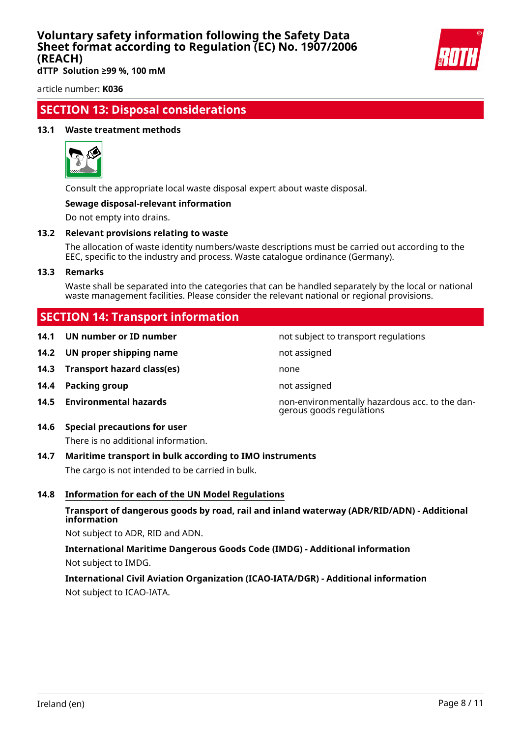

**dTTP Solution ≥99 %, 100 mM**

article number: **K036**

### **SECTION 13: Disposal considerations**

#### **13.1 Waste treatment methods**



Consult the appropriate local waste disposal expert about waste disposal.

#### **Sewage disposal-relevant information**

Do not empty into drains.

#### **13.2 Relevant provisions relating to waste**

The allocation of waste identity numbers/waste descriptions must be carried out according to the EEC, specific to the industry and process. Waste catalogue ordinance (Germany).

#### **13.3 Remarks**

Waste shall be separated into the categories that can be handled separately by the local or national waste management facilities. Please consider the relevant national or regional provisions.

### **SECTION 14: Transport information**

|  |  | 14.1 UN number or ID number |  |  |
|--|--|-----------------------------|--|--|
|--|--|-----------------------------|--|--|

- **14.2 UN proper shipping name** not assigned
- **14.3 Transport hazard class(es)** none
- **14.4 Packing group not assigned**
- 

### **14.6 Special precautions for user**

There is no additional information.

#### **14.7 Maritime transport in bulk according to IMO instruments**

The cargo is not intended to be carried in bulk.

#### **14.8 Information for each of the UN Model Regulations**

#### **Transport of dangerous goods by road, rail and inland waterway (ADR/RID/ADN) - Additional information**

Not subject to ADR, RID and ADN.

**International Maritime Dangerous Goods Code (IMDG) - Additional information** Not subject to IMDG.

### **International Civil Aviation Organization (ICAO-IATA/DGR) - Additional information** Not subject to ICAO-IATA.

not subject to transport regulations

**14.5 Environmental hazards** non-environmentally hazardous acc. to the dangerous goods regulations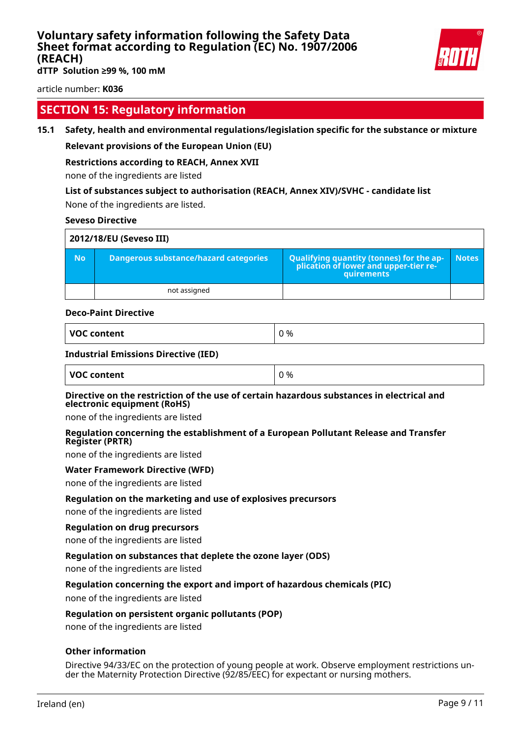

**dTTP Solution ≥99 %, 100 mM**

article number: **K036**

### **SECTION 15: Regulatory information**

#### **15.1 Safety, health and environmental regulations/legislation specific for the substance or mixture**

#### **Relevant provisions of the European Union (EU)**

#### **Restrictions according to REACH, Annex XVII**

none of the ingredients are listed

#### **List of substances subject to authorisation (REACH, Annex XIV)/SVHC - candidate list**

None of the ingredients are listed.

#### **Seveso Directive**

| 2012/18/EU (Seveso III) |                                       |                                                                                            |              |  |
|-------------------------|---------------------------------------|--------------------------------------------------------------------------------------------|--------------|--|
| <b>No</b>               | Dangerous substance/hazard categories | Qualifying quantity (tonnes) for the application of lower and upper-tier re-<br>quirements | <b>Notes</b> |  |
|                         | not assigned                          |                                                                                            |              |  |

#### **Deco-Paint Directive**

| VOC content |  |
|-------------|--|
|-------------|--|

#### **Industrial Emissions Directive (IED)**

| VOC content | 0 % |
|-------------|-----|
|-------------|-----|

#### **Directive on the restriction of the use of certain hazardous substances in electrical and electronic equipment (RoHS)**

none of the ingredients are listed

#### **Regulation concerning the establishment of a European Pollutant Release and Transfer Register (PRTR)**

none of the ingredients are listed

#### **Water Framework Directive (WFD)**

none of the ingredients are listed

#### **Regulation on the marketing and use of explosives precursors**

none of the ingredients are listed

#### **Regulation on drug precursors**

none of the ingredients are listed

#### **Regulation on substances that deplete the ozone layer (ODS)**

none of the ingredients are listed

#### **Regulation concerning the export and import of hazardous chemicals (PIC)**

none of the ingredients are listed

#### **Regulation on persistent organic pollutants (POP)**

none of the ingredients are listed

#### **Other information**

Directive 94/33/EC on the protection of young people at work. Observe employment restrictions under the Maternity Protection Directive (92/85/EEC) for expectant or nursing mothers.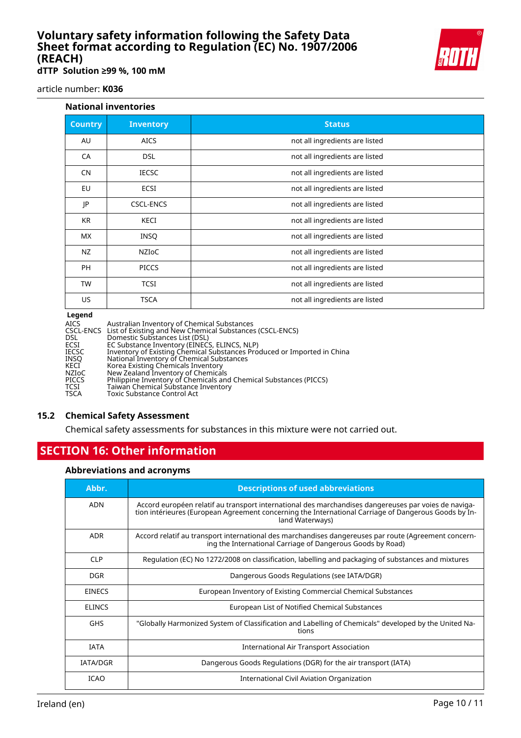

**dTTP Solution ≥99 %, 100 mM**

article number: **K036**

#### **National inventories**

| <b>Inventory</b> | <b>Status</b>                  |
|------------------|--------------------------------|
| <b>AICS</b>      | not all ingredients are listed |
| <b>DSL</b>       | not all ingredients are listed |
| <b>IECSC</b>     | not all ingredients are listed |
| ECSI             | not all ingredients are listed |
| <b>CSCL-ENCS</b> | not all ingredients are listed |
| KECI             | not all ingredients are listed |
| <b>INSQ</b>      | not all ingredients are listed |
| <b>NZIOC</b>     | not all ingredients are listed |
| <b>PICCS</b>     | not all ingredients are listed |
| <b>TCSI</b>      | not all ingredients are listed |
| <b>TSCA</b>      | not all ingredients are listed |
|                  |                                |

#### **Legend**

| <b>Leyenu</b> |                                                                         |
|---------------|-------------------------------------------------------------------------|
| AICS          | Australian Inventory of Chemical Substances                             |
|               | CSCL-ENCS List of Existing and New Chemical Substances (CSCL-ENCS)      |
| DSL           | Domestic Substances List (DSL)                                          |
| ECSI          | EC Substance Inventory (EINECS, ELINCS, NLP)                            |
| IECSC         | Inventory of Existing Chemical Substances Produced or Imported in China |
| INSO          | National Inventory of Chemical Substances                               |
| KECI          | Korea Existing Chemicals Inventory                                      |
| <b>NZIOC</b>  | New Zealand Inventory of Chemicals                                      |
| <b>PICCS</b>  | Philippine Inventory of Chemicals and Chemical Substances (PICCS)       |
| TCSI          | Taiwan Chemical Substance Inventory                                     |
| TSCA          | <b>Toxic Substance Control Act</b>                                      |
|               |                                                                         |

#### **15.2 Chemical Safety Assessment**

Chemical safety assessments for substances in this mixture were not carried out.

### **SECTION 16: Other information**

#### **Abbreviations and acronyms**

| Abbr.           | <b>Descriptions of used abbreviations</b>                                                                                                                                                                                       |
|-----------------|---------------------------------------------------------------------------------------------------------------------------------------------------------------------------------------------------------------------------------|
| <b>ADN</b>      | Accord européen relatif au transport international des marchandises dangereuses par voies de naviga-<br>tion intérieures (European Agreement concerning the International Carriage of Dangerous Goods by In-<br>land Waterways) |
| <b>ADR</b>      | Accord relatif au transport international des marchandises dangereuses par route (Agreement concern-<br>ing the International Carriage of Dangerous Goods by Road)                                                              |
| <b>CLP</b>      | Regulation (EC) No 1272/2008 on classification, labelling and packaging of substances and mixtures                                                                                                                              |
| <b>DGR</b>      | Dangerous Goods Regulations (see IATA/DGR)                                                                                                                                                                                      |
| <b>EINECS</b>   | European Inventory of Existing Commercial Chemical Substances                                                                                                                                                                   |
| <b>ELINCS</b>   | European List of Notified Chemical Substances                                                                                                                                                                                   |
| <b>GHS</b>      | "Globally Harmonized System of Classification and Labelling of Chemicals" developed by the United Na-<br>tions                                                                                                                  |
| <b>IATA</b>     | International Air Transport Association                                                                                                                                                                                         |
| <b>IATA/DGR</b> | Dangerous Goods Regulations (DGR) for the air transport (IATA)                                                                                                                                                                  |
| <b>ICAO</b>     | International Civil Aviation Organization                                                                                                                                                                                       |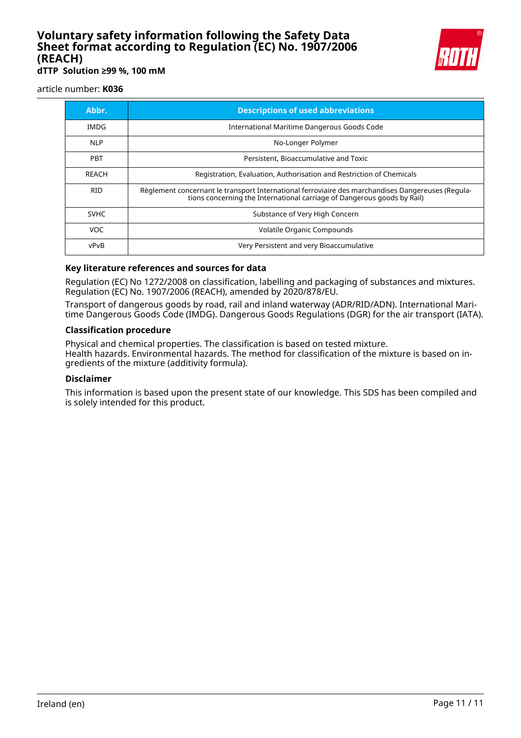

**dTTP Solution ≥99 %, 100 mM**

#### article number: **K036**

| Abbr.       | <b>Descriptions of used abbreviations</b>                                                                                                                                    |
|-------------|------------------------------------------------------------------------------------------------------------------------------------------------------------------------------|
| IMDG        | International Maritime Dangerous Goods Code                                                                                                                                  |
| <b>NLP</b>  | No-Longer Polymer                                                                                                                                                            |
| <b>PBT</b>  | Persistent, Bioaccumulative and Toxic                                                                                                                                        |
| REACH       | Registration, Evaluation, Authorisation and Restriction of Chemicals                                                                                                         |
| <b>RID</b>  | Règlement concernant le transport International ferroviaire des marchandises Dangereuses (Regula-<br>tions concerning the International carriage of Dangerous goods by Rail) |
| <b>SVHC</b> | Substance of Very High Concern                                                                                                                                               |
| VOC.        | Volatile Organic Compounds                                                                                                                                                   |
| vPvB        | Very Persistent and very Bioaccumulative                                                                                                                                     |

#### **Key literature references and sources for data**

Regulation (EC) No 1272/2008 on classification, labelling and packaging of substances and mixtures. Regulation (EC) No. 1907/2006 (REACH), amended by 2020/878/EU.

Transport of dangerous goods by road, rail and inland waterway (ADR/RID/ADN). International Maritime Dangerous Goods Code (IMDG). Dangerous Goods Regulations (DGR) for the air transport (IATA).

#### **Classification procedure**

Physical and chemical properties. The classification is based on tested mixture. Health hazards. Environmental hazards. The method for classification of the mixture is based on ingredients of the mixture (additivity formula).

#### **Disclaimer**

This information is based upon the present state of our knowledge. This SDS has been compiled and is solely intended for this product.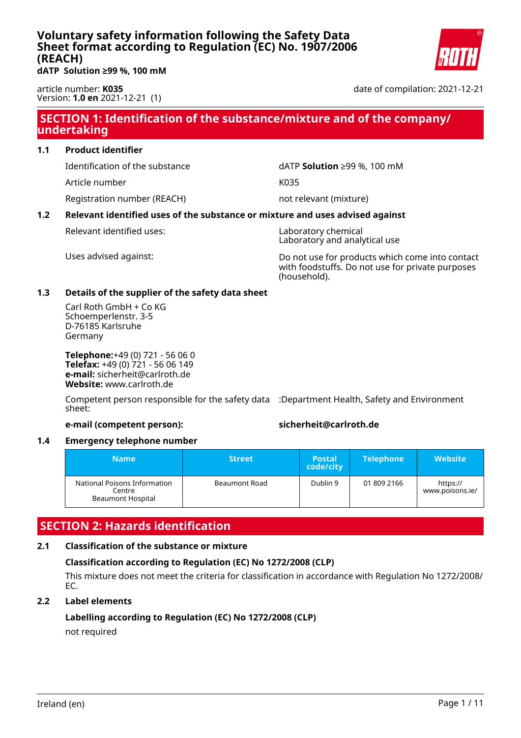

<span id="page-13-0"></span>**dATP Solution ≥99 %, 100 mM**

article number: **K035** Version: **1.0 en** 2021-12-21 (1) date of compilation: 2021-12-21

### **SECTION 1: Identification of the substance/mixture and of the company/ undertaking**

#### **1.1 Product identifier**

Article number K035

Registration number (REACH) not relevant (mixture)

Identification of the substance dATP **Solution** ≥99 %, 100 mM

### **1.2 Relevant identified uses of the substance or mixture and uses advised against**

Relevant identified uses: Naboratory chemical

Laboratory and analytical use

Uses advised against: Do not use for products which come into contact with foodstuffs. Do not use for private purposes (household).

#### **1.3 Details of the supplier of the safety data sheet**

Carl Roth GmbH + Co KG Schoemperlenstr. 3-5 D-76185 Karlsruhe Germany

**Telephone:**+49 (0) 721 - 56 06 0 **Telefax:** +49 (0) 721 - 56 06 149 **e-mail:** sicherheit@carlroth.de **Website:** www.carlroth.de

Competent person responsible for the safety data :Department Health, Safety and Environment sheet:

#### **e-mail (competent person): sicherheit@carlroth.de**

#### **1.4 Emergency telephone number**

| Name                                                               | <b>Street</b> | <b>Postal</b><br>code/city | <b>Telephone</b> | <b>Website</b>              |
|--------------------------------------------------------------------|---------------|----------------------------|------------------|-----------------------------|
| National Poisons Information<br>Centre<br><b>Beaumont Hospital</b> | Beaumont Road | Dublin 9                   | 01 809 2166      | https://<br>www.poisons.ie/ |

### **SECTION 2: Hazards identification**

#### **2.1 Classification of the substance or mixture**

### **Classification according to Regulation (EC) No 1272/2008 (CLP)**

This mixture does not meet the criteria for classification in accordance with Regulation No 1272/2008/ EC.

#### **2.2 Label elements**

#### **Labelling according to Regulation (EC) No 1272/2008 (CLP)** not required

Ireland (en) Page 1 / 11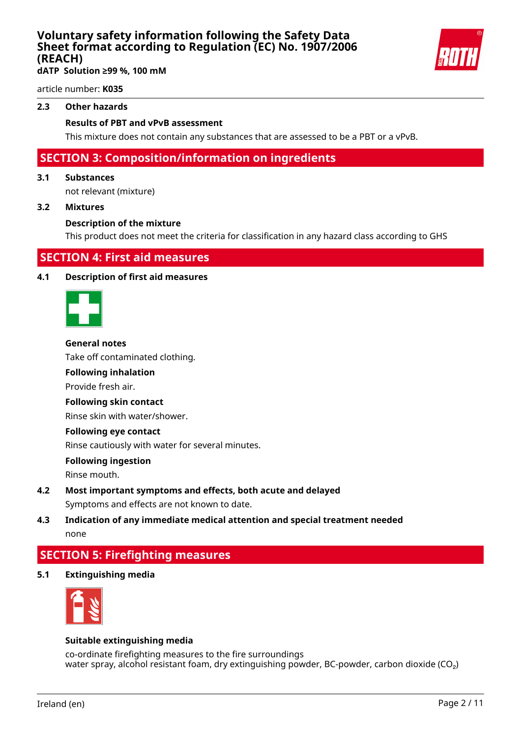**dATP Solution ≥99 %, 100 mM**

article number: **K035**

#### **2.3 Other hazards**

#### **Results of PBT and vPvB assessment**

This mixture does not contain any substances that are assessed to be a PBT or a vPvB.

### **SECTION 3: Composition/information on ingredients**

#### **3.1 Substances**

not relevant (mixture)

#### **3.2 Mixtures**

#### **Description of the mixture**

This product does not meet the criteria for classification in any hazard class according to GHS

### **SECTION 4: First aid measures**

#### **4.1 Description of first aid measures**



#### **General notes**

Take off contaminated clothing.

#### **Following inhalation**

Provide fresh air.

#### **Following skin contact**

Rinse skin with water/shower.

#### **Following eye contact**

Rinse cautiously with water for several minutes.

#### **Following ingestion**

Rinse mouth.

**4.2 Most important symptoms and effects, both acute and delayed** Symptoms and effects are not known to date.

### **4.3 Indication of any immediate medical attention and special treatment needed** none

### **SECTION 5: Firefighting measures**

**5.1 Extinguishing media**



#### **Suitable extinguishing media**

co-ordinate firefighting measures to the fire surroundings water spray, alcohol resistant foam, dry extinguishing powder, BC-powder, carbon dioxide ( $CO<sub>2</sub>$ )

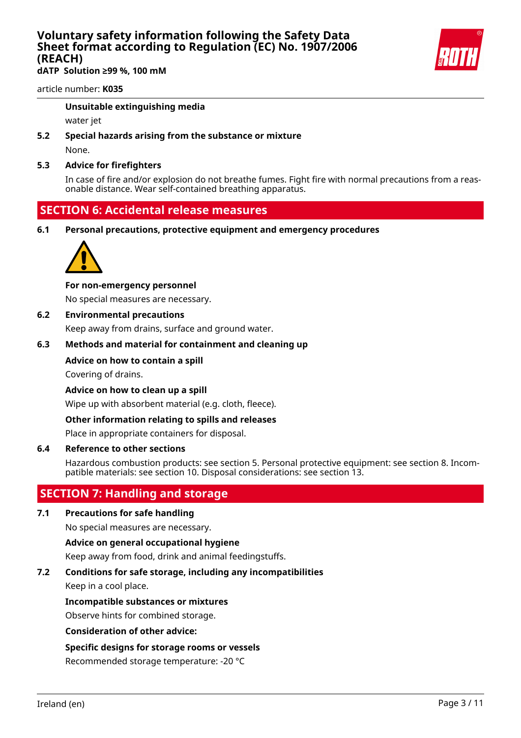**dATP Solution ≥99 %, 100 mM**

article number: **K035**

#### **Unsuitable extinguishing media**

water jet

**5.2 Special hazards arising from the substance or mixture**

None.

#### **5.3 Advice for firefighters**

In case of fire and/or explosion do not breathe fumes. Fight fire with normal precautions from a reasonable distance. Wear self-contained breathing apparatus.

### **SECTION 6: Accidental release measures**

**6.1 Personal precautions, protective equipment and emergency procedures**



#### **For non-emergency personnel**

No special measures are necessary.

#### **6.2 Environmental precautions**

Keep away from drains, surface and ground water.

#### **6.3 Methods and material for containment and cleaning up**

#### **Advice on how to contain a spill**

Covering of drains.

**Advice on how to clean up a spill**

Wipe up with absorbent material (e.g. cloth, fleece).

#### **Other information relating to spills and releases**

Place in appropriate containers for disposal.

#### **6.4 Reference to other sections**

Hazardous combustion products: see section 5. Personal protective equipment: see section 8. Incompatible materials: see section 10. Disposal considerations: see section 13.

### **SECTION 7: Handling and storage**

#### **7.1 Precautions for safe handling**

No special measures are necessary.

#### **Advice on general occupational hygiene**

Keep away from food, drink and animal feedingstuffs.

#### **7.2 Conditions for safe storage, including any incompatibilities**

Keep in a cool place.

#### **Incompatible substances or mixtures**

Observe hints for combined storage.

#### **Consideration of other advice:**

#### **Specific designs for storage rooms or vessels**

Recommended storage temperature: -20 °C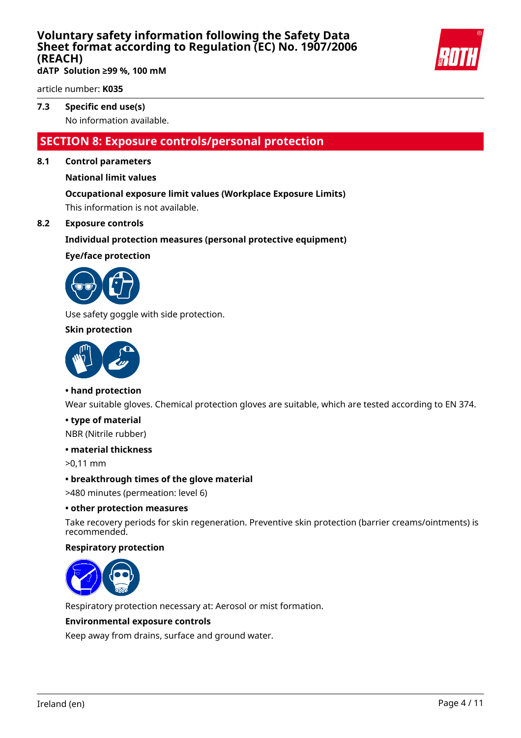

**dATP Solution ≥99 %, 100 mM**

article number: **K035**

### **7.3 Specific end use(s)**

No information available.

### **SECTION 8: Exposure controls/personal protection**

#### **8.1 Control parameters**

#### **National limit values**

#### **Occupational exposure limit values (Workplace Exposure Limits)**

This information is not available.

#### **8.2 Exposure controls**

#### **Individual protection measures (personal protective equipment)**

#### **Eye/face protection**



Use safety goggle with side protection.

#### **Skin protection**



#### **• hand protection**

Wear suitable gloves. Chemical protection gloves are suitable, which are tested according to EN 374.

#### **• type of material**

NBR (Nitrile rubber)

#### **• material thickness**

>0,11 mm

#### **• breakthrough times of the glove material**

>480 minutes (permeation: level 6)

#### **• other protection measures**

Take recovery periods for skin regeneration. Preventive skin protection (barrier creams/ointments) is recommended.

#### **Respiratory protection**



Respiratory protection necessary at: Aerosol or mist formation.

#### **Environmental exposure controls**

Keep away from drains, surface and ground water.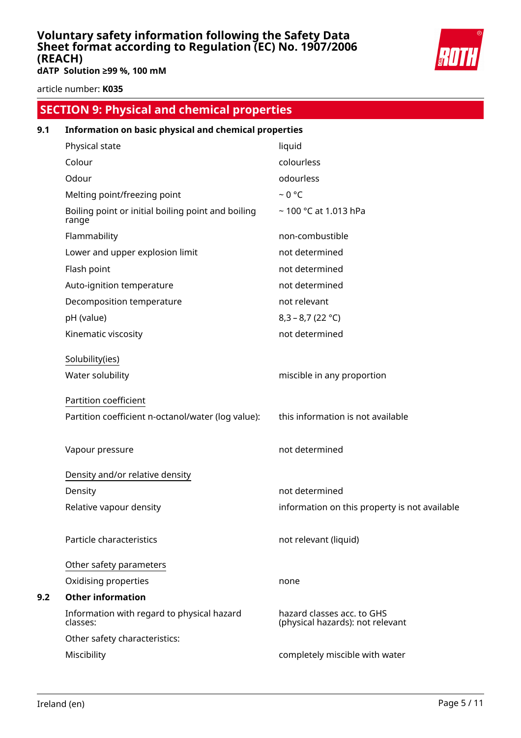

**dATP Solution ≥99 %, 100 mM**

article number: **K035**

# **SECTION 9: Physical and chemical properties 9.1 Information on basic physical and chemical properties**

| Physical state                                              | liquid                                                         |
|-------------------------------------------------------------|----------------------------------------------------------------|
| Colour                                                      | colourless                                                     |
| Odour                                                       | odourless                                                      |
| Melting point/freezing point                                | $~0$ °C                                                        |
| Boiling point or initial boiling point and boiling<br>range | ~100 °C at 1.013 hPa                                           |
| Flammability                                                | non-combustible                                                |
| Lower and upper explosion limit                             | not determined                                                 |
| Flash point                                                 | not determined                                                 |
| Auto-ignition temperature                                   | not determined                                                 |
| Decomposition temperature                                   | not relevant                                                   |
| pH (value)                                                  | $8,3 - 8,7 (22 °C)$                                            |
| Kinematic viscosity                                         | not determined                                                 |
| Solubility(ies)                                             |                                                                |
| Water solubility                                            | miscible in any proportion                                     |
|                                                             |                                                                |
| Partition coefficient                                       |                                                                |
| Partition coefficient n-octanol/water (log value):          | this information is not available                              |
| Vapour pressure                                             | not determined                                                 |
| Density and/or relative density                             |                                                                |
| Density                                                     | not determined                                                 |
| Relative vapour density                                     | information on this property is not available                  |
| Particle characteristics                                    | not relevant (liquid)                                          |
| Other safety parameters                                     |                                                                |
| Oxidising properties                                        | none                                                           |
| <b>Other information</b>                                    |                                                                |
| Information with regard to physical hazard<br>classes:      | hazard classes acc. to GHS<br>(physical hazards): not relevant |
| Other safety characteristics:                               |                                                                |
| Miscibility                                                 | completely miscible with water                                 |

**9.2 Other information**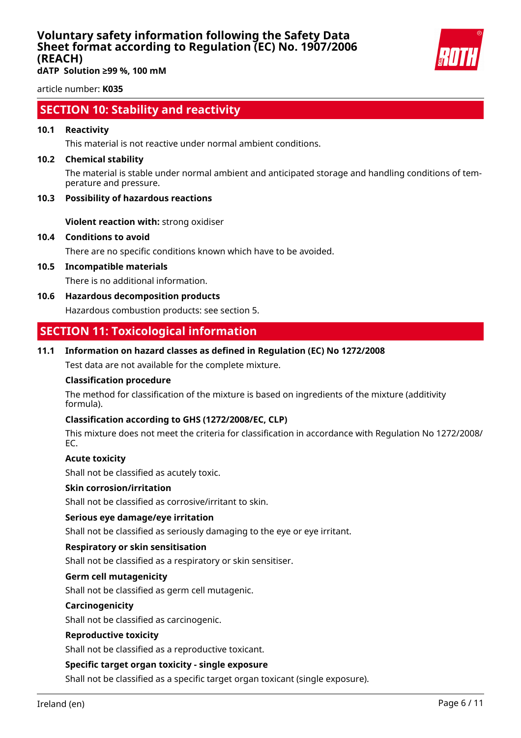

**dATP Solution ≥99 %, 100 mM**

article number: **K035**

### **SECTION 10: Stability and reactivity**

#### **10.1 Reactivity**

This material is not reactive under normal ambient conditions.

#### **10.2 Chemical stability**

The material is stable under normal ambient and anticipated storage and handling conditions of temperature and pressure.

#### **10.3 Possibility of hazardous reactions**

**Violent reaction with:** strong oxidiser

#### **10.4 Conditions to avoid**

There are no specific conditions known which have to be avoided.

**10.5 Incompatible materials**

There is no additional information.

**10.6 Hazardous decomposition products**

Hazardous combustion products: see section 5.

### **SECTION 11: Toxicological information**

#### **11.1 Information on hazard classes as defined in Regulation (EC) No 1272/2008**

Test data are not available for the complete mixture.

#### **Classification procedure**

The method for classification of the mixture is based on ingredients of the mixture (additivity formula).

#### **Classification according to GHS (1272/2008/EC, CLP)**

This mixture does not meet the criteria for classification in accordance with Regulation No 1272/2008/ EC.

#### **Acute toxicity**

Shall not be classified as acutely toxic.

#### **Skin corrosion/irritation**

Shall not be classified as corrosive/irritant to skin.

#### **Serious eye damage/eye irritation**

Shall not be classified as seriously damaging to the eye or eye irritant.

#### **Respiratory or skin sensitisation**

Shall not be classified as a respiratory or skin sensitiser.

#### **Germ cell mutagenicity**

Shall not be classified as germ cell mutagenic.

#### **Carcinogenicity**

Shall not be classified as carcinogenic.

#### **Reproductive toxicity**

Shall not be classified as a reproductive toxicant.

#### **Specific target organ toxicity - single exposure**

Shall not be classified as a specific target organ toxicant (single exposure).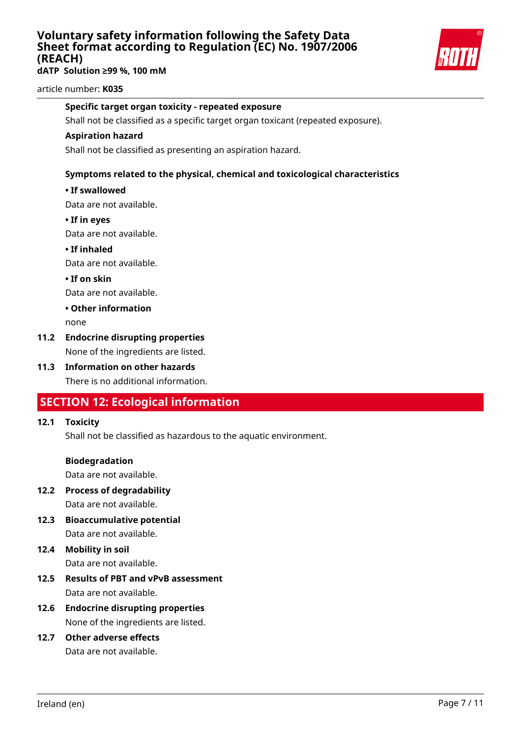**dATP Solution ≥99 %, 100 mM**



article number: **K035**

#### **Specific target organ toxicity - repeated exposure**

Shall not be classified as a specific target organ toxicant (repeated exposure).

#### **Aspiration hazard**

Shall not be classified as presenting an aspiration hazard.

#### **Symptoms related to the physical, chemical and toxicological characteristics**

#### **• If swallowed**

Data are not available.

**• If in eyes**

Data are not available.

**• If inhaled**

Data are not available.

**• If on skin**

Data are not available.

#### **• Other information**

none

### **11.2 Endocrine disrupting properties**

None of the ingredients are listed.

**11.3 Information on other hazards** There is no additional information.

### **SECTION 12: Ecological information**

#### **12.1 Toxicity**

Shall not be classified as hazardous to the aquatic environment.

#### **Biodegradation**

Data are not available.

- **12.2 Process of degradability** Data are not available.
- **12.3 Bioaccumulative potential** Data are not available.

# **12.4 Mobility in soil**

Data are not available.

- **12.5 Results of PBT and vPvB assessment** Data are not available.
- **12.6 Endocrine disrupting properties** None of the ingredients are listed.

## **12.7 Other adverse effects**

Data are not available.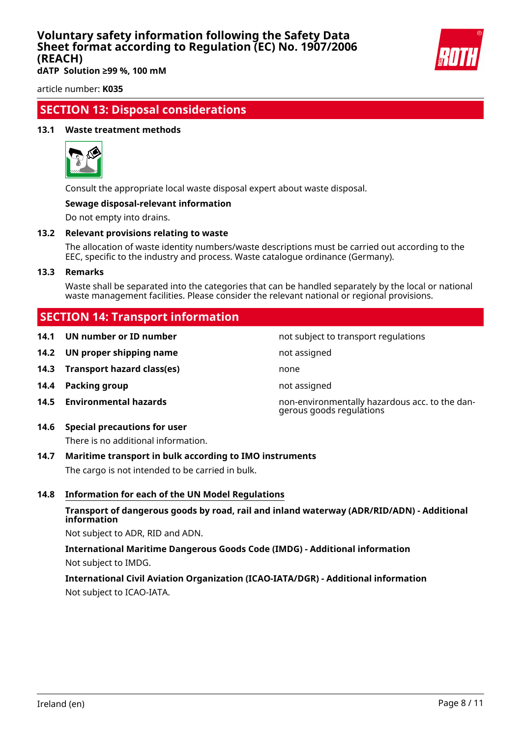

**dATP Solution ≥99 %, 100 mM**

article number: **K035**

### **SECTION 13: Disposal considerations**

#### **13.1 Waste treatment methods**



Consult the appropriate local waste disposal expert about waste disposal.

#### **Sewage disposal-relevant information**

Do not empty into drains.

#### **13.2 Relevant provisions relating to waste**

The allocation of waste identity numbers/waste descriptions must be carried out according to the EEC, specific to the industry and process. Waste catalogue ordinance (Germany).

#### **13.3 Remarks**

Waste shall be separated into the categories that can be handled separately by the local or national waste management facilities. Please consider the relevant national or regional provisions.

not subject to transport regulations

gerous goods regulations

### **SECTION 14: Transport information**

| 14.1 UN number or ID number |  |  |  |
|-----------------------------|--|--|--|
|-----------------------------|--|--|--|

- **14.2 UN proper shipping name** not assigned
- **14.3 Transport hazard class(es)** none
- **14.4 Packing group not assigned**
- **14.5 Environmental hazards** non-environmentally hazardous acc. to the dan-

### **14.6 Special precautions for user**

There is no additional information.

#### **14.7 Maritime transport in bulk according to IMO instruments**

The cargo is not intended to be carried in bulk.

#### **14.8 Information for each of the UN Model Regulations**

#### **Transport of dangerous goods by road, rail and inland waterway (ADR/RID/ADN) - Additional information**

Not subject to ADR, RID and ADN.

**International Maritime Dangerous Goods Code (IMDG) - Additional information** Not subject to IMDG.

### **International Civil Aviation Organization (ICAO-IATA/DGR) - Additional information** Not subject to ICAO-IATA.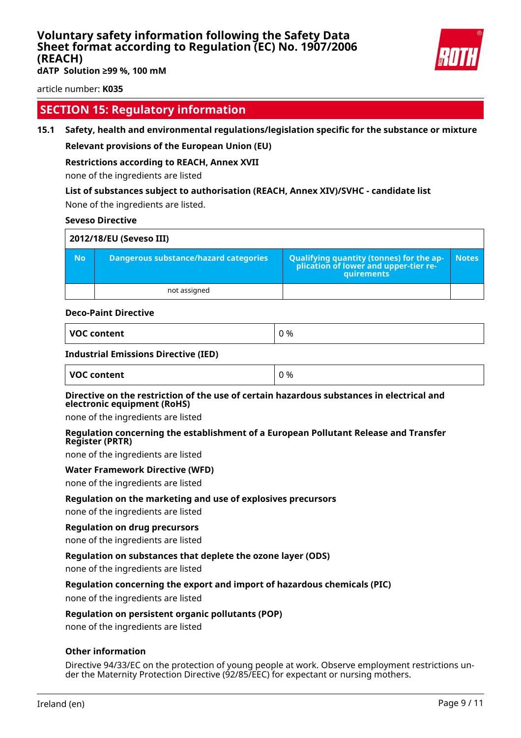

**dATP Solution ≥99 %, 100 mM**

article number: **K035**

### **SECTION 15: Regulatory information**

#### **15.1 Safety, health and environmental regulations/legislation specific for the substance or mixture**

#### **Relevant provisions of the European Union (EU)**

#### **Restrictions according to REACH, Annex XVII**

none of the ingredients are listed

#### **List of substances subject to authorisation (REACH, Annex XIV)/SVHC - candidate list**

None of the ingredients are listed.

#### **Seveso Directive**

| 2012/18/EU (Seveso III) |                                       |                                                                                            |              |  |
|-------------------------|---------------------------------------|--------------------------------------------------------------------------------------------|--------------|--|
| <b>No</b>               | Dangerous substance/hazard categories | Qualifying quantity (tonnes) for the application of lower and upper-tier re-<br>quirements | <b>Notes</b> |  |
|                         | not assigned                          |                                                                                            |              |  |

#### **Deco-Paint Directive**

| VOC content |  |
|-------------|--|
|-------------|--|

#### **Industrial Emissions Directive (IED)**

| <b>VOC content</b> | 0% |
|--------------------|----|
|                    |    |

#### **Directive on the restriction of the use of certain hazardous substances in electrical and electronic equipment (RoHS)**

none of the ingredients are listed

#### **Regulation concerning the establishment of a European Pollutant Release and Transfer Register (PRTR)**

none of the ingredients are listed

#### **Water Framework Directive (WFD)**

none of the ingredients are listed

#### **Regulation on the marketing and use of explosives precursors**

none of the ingredients are listed

#### **Regulation on drug precursors**

none of the ingredients are listed

#### **Regulation on substances that deplete the ozone layer (ODS)**

none of the ingredients are listed

#### **Regulation concerning the export and import of hazardous chemicals (PIC)**

none of the ingredients are listed

#### **Regulation on persistent organic pollutants (POP)**

none of the ingredients are listed

#### **Other information**

Directive 94/33/EC on the protection of young people at work. Observe employment restrictions under the Maternity Protection Directive (92/85/EEC) for expectant or nursing mothers.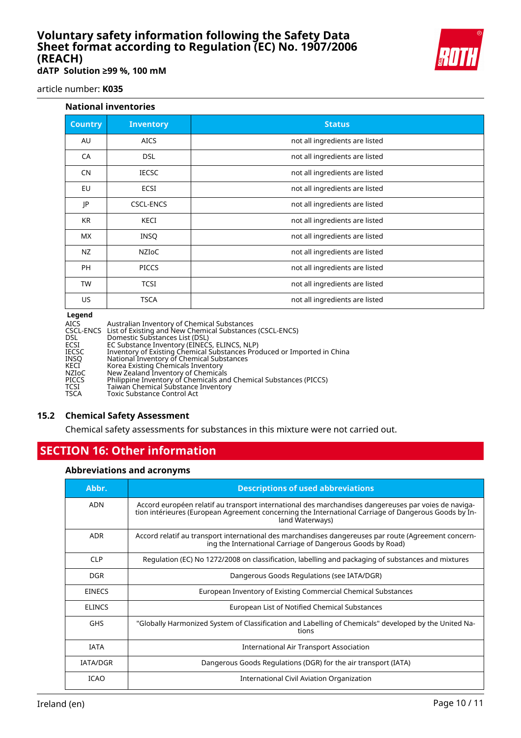**dATP Solution ≥99 %, 100 mM**

article number: **K035**

#### **National inventories**

| <b>Inventory</b> | <b>Status</b>                  |
|------------------|--------------------------------|
| <b>AICS</b>      | not all ingredients are listed |
| <b>DSL</b>       | not all ingredients are listed |
| <b>IECSC</b>     | not all ingredients are listed |
| <b>ECSI</b>      | not all ingredients are listed |
| <b>CSCL-ENCS</b> | not all ingredients are listed |
| <b>KECI</b>      | not all ingredients are listed |
| <b>INSQ</b>      | not all ingredients are listed |
| <b>NZIOC</b>     | not all ingredients are listed |
| <b>PICCS</b>     | not all ingredients are listed |
| <b>TCSI</b>      | not all ingredients are listed |
| <b>TSCA</b>      | not all ingredients are listed |
|                  |                                |

#### **Legend**

| <b>Leyenu</b> |                                                                         |
|---------------|-------------------------------------------------------------------------|
| AICS          | Australian Inventory of Chemical Substances                             |
|               | CSCL-ENCS List of Existing and New Chemical Substances (CSCL-ENCS)      |
| DSL           | Domestic Substances List (DSL)                                          |
| ECSI          | EC Substance Inventory (EINECS, ELINCS, NLP)                            |
| IECSC         | Inventory of Existing Chemical Substances Produced or Imported in China |
| INSO          | National Inventory of Chemical Substances                               |
| KECI          | Korea Existing Chemicals Inventory                                      |
| <b>NZIOC</b>  | New Zealand Inventory of Chemicals                                      |
| <b>PICCS</b>  | Philippine Inventory of Chemicals and Chemical Substances (PICCS)       |
| TCSI          | Taiwan Chemical Substance Inventory                                     |
| TSCA          | <b>Toxic Substance Control Act</b>                                      |
|               |                                                                         |

#### **15.2 Chemical Safety Assessment**

Chemical safety assessments for substances in this mixture were not carried out.

### **SECTION 16: Other information**

#### **Abbreviations and acronyms**

| Abbr.           | <b>Descriptions of used abbreviations</b>                                                                                                                                                                                       |
|-----------------|---------------------------------------------------------------------------------------------------------------------------------------------------------------------------------------------------------------------------------|
| <b>ADN</b>      | Accord européen relatif au transport international des marchandises dangereuses par voies de naviga-<br>tion intérieures (European Agreement concerning the International Carriage of Dangerous Goods by In-<br>land Waterways) |
| <b>ADR</b>      | Accord relatif au transport international des marchandises dangereuses par route (Agreement concern-<br>ing the International Carriage of Dangerous Goods by Road)                                                              |
| <b>CLP</b>      | Regulation (EC) No 1272/2008 on classification, labelling and packaging of substances and mixtures                                                                                                                              |
| <b>DGR</b>      | Dangerous Goods Regulations (see IATA/DGR)                                                                                                                                                                                      |
| <b>EINECS</b>   | European Inventory of Existing Commercial Chemical Substances                                                                                                                                                                   |
| <b>ELINCS</b>   | European List of Notified Chemical Substances                                                                                                                                                                                   |
| <b>GHS</b>      | "Globally Harmonized System of Classification and Labelling of Chemicals" developed by the United Na-<br>tions                                                                                                                  |
| <b>IATA</b>     | International Air Transport Association                                                                                                                                                                                         |
| <b>IATA/DGR</b> | Dangerous Goods Regulations (DGR) for the air transport (IATA)                                                                                                                                                                  |
| <b>ICAO</b>     | International Civil Aviation Organization                                                                                                                                                                                       |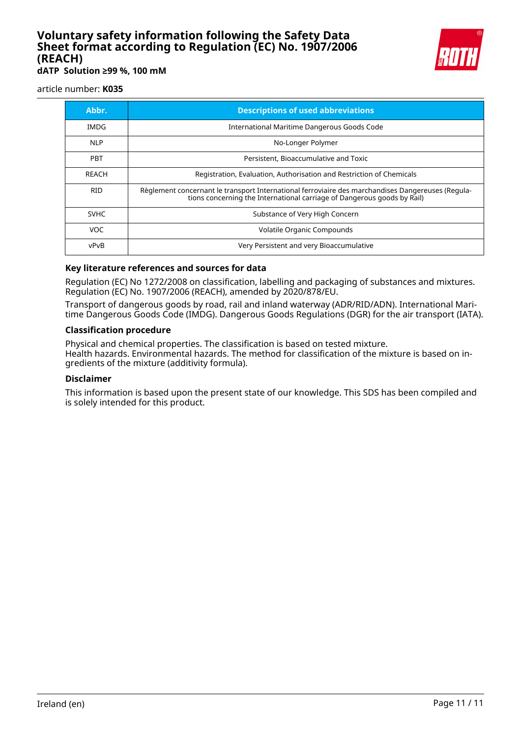

**dATP Solution ≥99 %, 100 mM**

article number: **K035**

| Abbr.        | <b>Descriptions of used abbreviations</b>                                                                                                                                    |
|--------------|------------------------------------------------------------------------------------------------------------------------------------------------------------------------------|
| IMDG         | International Maritime Dangerous Goods Code                                                                                                                                  |
| <b>NLP</b>   | No-Longer Polymer                                                                                                                                                            |
| <b>PBT</b>   | Persistent, Bioaccumulative and Toxic                                                                                                                                        |
| <b>RFACH</b> | Registration, Evaluation, Authorisation and Restriction of Chemicals                                                                                                         |
| <b>RID</b>   | Règlement concernant le transport International ferroviaire des marchandises Dangereuses (Regula-<br>tions concerning the International carriage of Dangerous goods by Rail) |
| <b>SVHC</b>  | Substance of Very High Concern                                                                                                                                               |
| VOC.         | Volatile Organic Compounds                                                                                                                                                   |
| vPvB         | Very Persistent and very Bioaccumulative                                                                                                                                     |

#### **Key literature references and sources for data**

Regulation (EC) No 1272/2008 on classification, labelling and packaging of substances and mixtures. Regulation (EC) No. 1907/2006 (REACH), amended by 2020/878/EU.

Transport of dangerous goods by road, rail and inland waterway (ADR/RID/ADN). International Maritime Dangerous Goods Code (IMDG). Dangerous Goods Regulations (DGR) for the air transport (IATA).

#### **Classification procedure**

Physical and chemical properties. The classification is based on tested mixture. Health hazards. Environmental hazards. The method for classification of the mixture is based on ingredients of the mixture (additivity formula).

#### **Disclaimer**

This information is based upon the present state of our knowledge. This SDS has been compiled and is solely intended for this product.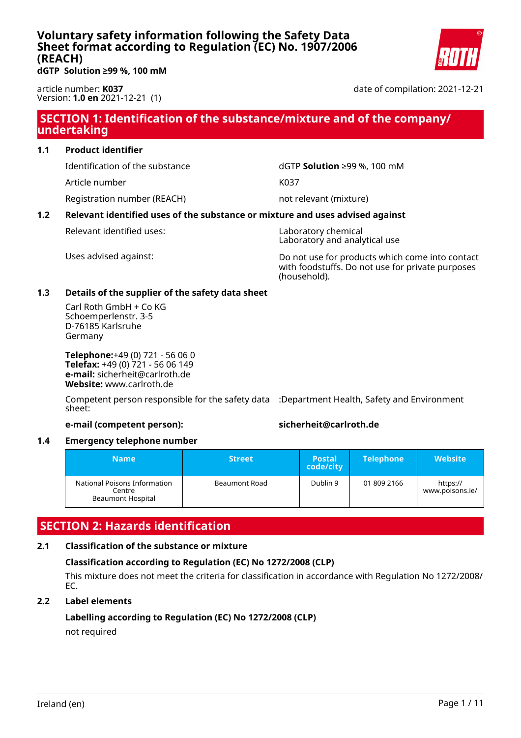

<span id="page-24-0"></span>**dGTP Solution ≥99 %, 100 mM**

article number: **K037** Version: **1.0 en** 2021-12-21 (1) date of compilation: 2021-12-21

### **SECTION 1: Identification of the substance/mixture and of the company/ undertaking**

#### **1.1 Product identifier**

Article number K037

Registration number (REACH) not relevant (mixture)

Identification of the substance dGTP **Solution** ≥99 %, 100 mM

### **1.2 Relevant identified uses of the substance or mixture and uses advised against**

Relevant identified uses: Naboratory chemical

Laboratory and analytical use

Uses advised against: Do not use for products which come into contact with foodstuffs. Do not use for private purposes (household).

#### **1.3 Details of the supplier of the safety data sheet**

Carl Roth GmbH + Co KG Schoemperlenstr. 3-5 D-76185 Karlsruhe Germany

**Telephone:**+49 (0) 721 - 56 06 0 **Telefax:** +49 (0) 721 - 56 06 149 **e-mail:** sicherheit@carlroth.de **Website:** www.carlroth.de

Competent person responsible for the safety data :Department Health, Safety and Environment sheet:

#### **e-mail (competent person): sicherheit@carlroth.de**

#### **1.4 Emergency telephone number**

| Name                                                               | <b>Street</b> | <b>Postal</b><br>code/city | <b>Telephone</b> | <b>Website</b>              |
|--------------------------------------------------------------------|---------------|----------------------------|------------------|-----------------------------|
| National Poisons Information<br>Centre<br><b>Beaumont Hospital</b> | Beaumont Road | Dublin 9                   | 01 809 2166      | https://<br>www.poisons.ie/ |

### **SECTION 2: Hazards identification**

#### **2.1 Classification of the substance or mixture**

### **Classification according to Regulation (EC) No 1272/2008 (CLP)**

This mixture does not meet the criteria for classification in accordance with Regulation No 1272/2008/ EC.

#### **2.2 Label elements**

#### **Labelling according to Regulation (EC) No 1272/2008 (CLP)** not required

Ireland (en) Page 1 / 11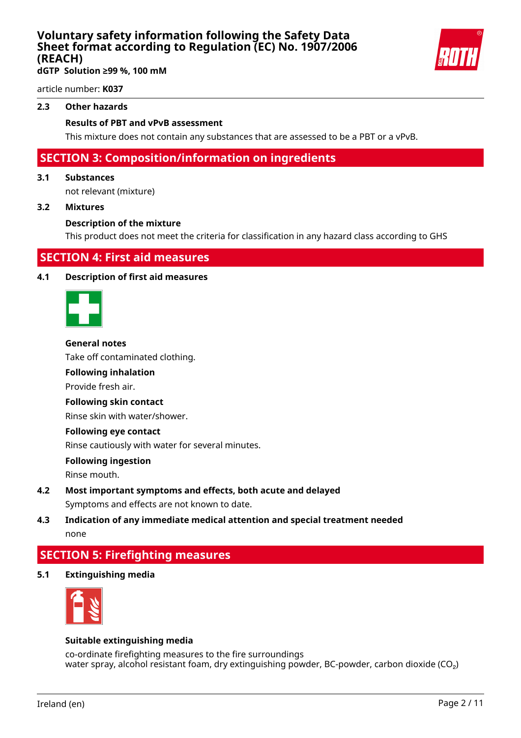**dGTP Solution ≥99 %, 100 mM**

article number: **K037**

#### **2.3 Other hazards**

#### **Results of PBT and vPvB assessment**

This mixture does not contain any substances that are assessed to be a PBT or a vPvB.

### **SECTION 3: Composition/information on ingredients**

#### **3.1 Substances**

not relevant (mixture)

#### **3.2 Mixtures**

#### **Description of the mixture**

This product does not meet the criteria for classification in any hazard class according to GHS

### **SECTION 4: First aid measures**

#### **4.1 Description of first aid measures**



#### **General notes**

Take off contaminated clothing.

#### **Following inhalation**

Provide fresh air.

#### **Following skin contact**

Rinse skin with water/shower.

#### **Following eye contact**

Rinse cautiously with water for several minutes.

#### **Following ingestion**

Rinse mouth.

**4.2 Most important symptoms and effects, both acute and delayed** Symptoms and effects are not known to date.

### **4.3 Indication of any immediate medical attention and special treatment needed** none

### **SECTION 5: Firefighting measures**

**5.1 Extinguishing media**



#### **Suitable extinguishing media**

co-ordinate firefighting measures to the fire surroundings water spray, alcohol resistant foam, dry extinguishing powder, BC-powder, carbon dioxide ( $CO<sub>2</sub>$ )

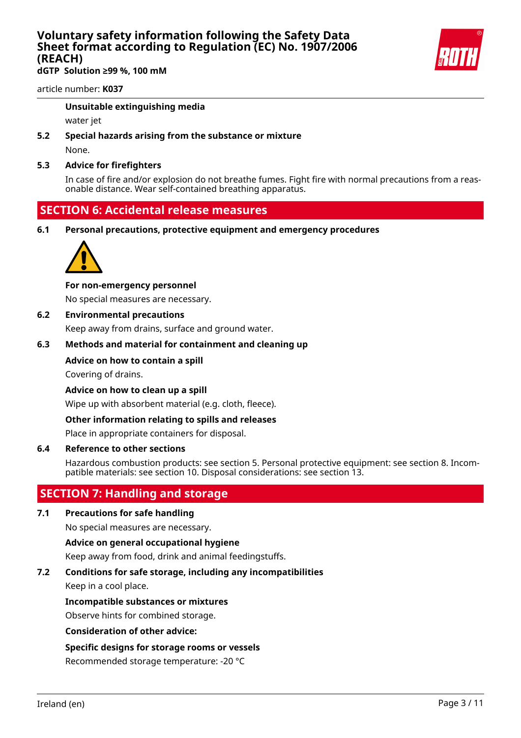**dGTP Solution ≥99 %, 100 mM**

article number: **K037**

#### **Unsuitable extinguishing media**

water jet

**5.2 Special hazards arising from the substance or mixture**

None.

#### **5.3 Advice for firefighters**

In case of fire and/or explosion do not breathe fumes. Fight fire with normal precautions from a reasonable distance. Wear self-contained breathing apparatus.

### **SECTION 6: Accidental release measures**

**6.1 Personal precautions, protective equipment and emergency procedures**



#### **For non-emergency personnel**

No special measures are necessary.

#### **6.2 Environmental precautions**

Keep away from drains, surface and ground water.

#### **6.3 Methods and material for containment and cleaning up**

#### **Advice on how to contain a spill**

Covering of drains.

**Advice on how to clean up a spill**

Wipe up with absorbent material (e.g. cloth, fleece).

#### **Other information relating to spills and releases**

Place in appropriate containers for disposal.

#### **6.4 Reference to other sections**

Hazardous combustion products: see section 5. Personal protective equipment: see section 8. Incompatible materials: see section 10. Disposal considerations: see section 13.

### **SECTION 7: Handling and storage**

#### **7.1 Precautions for safe handling**

No special measures are necessary.

#### **Advice on general occupational hygiene**

Keep away from food, drink and animal feedingstuffs.

#### **7.2 Conditions for safe storage, including any incompatibilities**

Keep in a cool place.

#### **Incompatible substances or mixtures**

Observe hints for combined storage.

#### **Consideration of other advice:**

#### **Specific designs for storage rooms or vessels**

Recommended storage temperature: -20 °C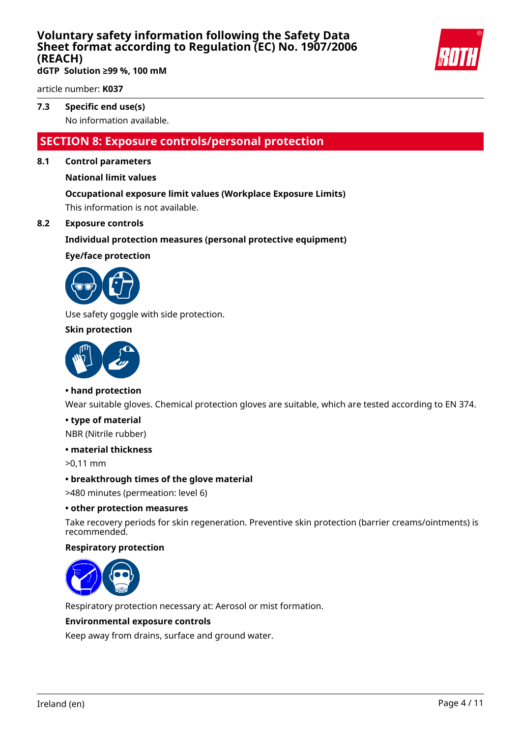

**dGTP Solution ≥99 %, 100 mM**

article number: **K037**

### **7.3 Specific end use(s)**

No information available.

### **SECTION 8: Exposure controls/personal protection**

#### **8.1 Control parameters**

#### **National limit values**

#### **Occupational exposure limit values (Workplace Exposure Limits)**

This information is not available.

#### **8.2 Exposure controls**

#### **Individual protection measures (personal protective equipment)**

#### **Eye/face protection**



Use safety goggle with side protection.

#### **Skin protection**



#### **• hand protection**

Wear suitable gloves. Chemical protection gloves are suitable, which are tested according to EN 374.

#### **• type of material**

NBR (Nitrile rubber)

#### **• material thickness**

>0,11 mm

#### **• breakthrough times of the glove material**

>480 minutes (permeation: level 6)

#### **• other protection measures**

Take recovery periods for skin regeneration. Preventive skin protection (barrier creams/ointments) is recommended.

#### **Respiratory protection**



Respiratory protection necessary at: Aerosol or mist formation.

#### **Environmental exposure controls**

Keep away from drains, surface and ground water.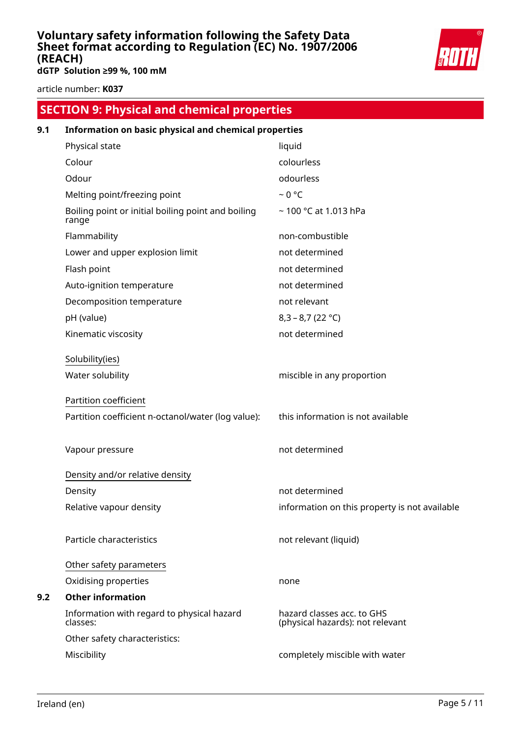

**dGTP Solution ≥99 %, 100 mM**

article number: **K037**

# **SECTION 9: Physical and chemical properties 9.1 Information on basic physical and chemical properties** Physical state liquid

| .                                                           |                                                                |
|-------------------------------------------------------------|----------------------------------------------------------------|
| Colour                                                      | colourless                                                     |
| Odour                                                       | odourless                                                      |
| Melting point/freezing point                                | $~0$ °C                                                        |
| Boiling point or initial boiling point and boiling<br>range | ~100 °C at 1.013 hPa                                           |
| Flammability                                                | non-combustible                                                |
| Lower and upper explosion limit                             | not determined                                                 |
| Flash point                                                 | not determined                                                 |
| Auto-ignition temperature                                   | not determined                                                 |
| Decomposition temperature                                   | not relevant                                                   |
| pH (value)                                                  | $8,3 - 8,7 (22 °C)$                                            |
| Kinematic viscosity                                         | not determined                                                 |
| Solubility(ies)                                             |                                                                |
| Water solubility                                            | miscible in any proportion                                     |
| <b>Partition coefficient</b>                                |                                                                |
| Partition coefficient n-octanol/water (log value):          | this information is not available                              |
| Vapour pressure                                             | not determined                                                 |
| Density and/or relative density                             |                                                                |
| Density                                                     | not determined                                                 |
| Relative vapour density                                     | information on this property is not available                  |
| Particle characteristics                                    | not relevant (liquid)                                          |
| Other safety parameters                                     |                                                                |
| Oxidising properties                                        | none                                                           |
| <b>Other information</b>                                    |                                                                |
| Information with regard to physical hazard<br>classes:      | hazard classes acc. to GHS<br>(physical hazards): not relevant |
| Other safety characteristics:                               |                                                                |
| Miscibility                                                 | completely miscible with water                                 |

**9.2 Other information**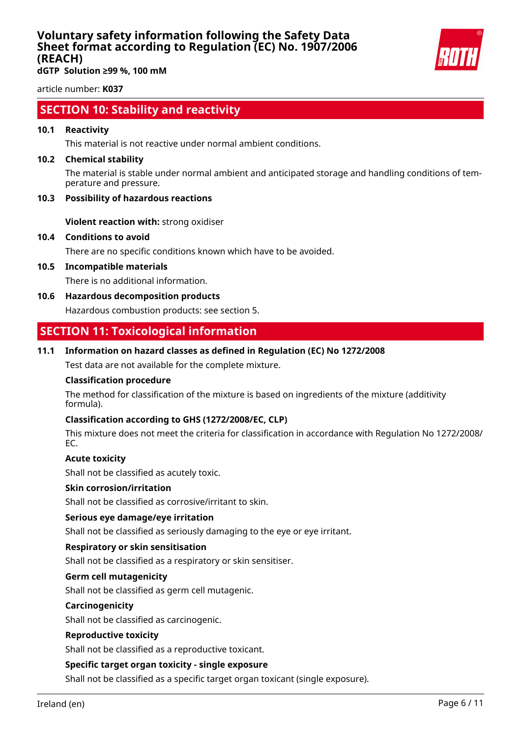

**dGTP Solution ≥99 %, 100 mM**

article number: **K037**

### **SECTION 10: Stability and reactivity**

#### **10.1 Reactivity**

This material is not reactive under normal ambient conditions.

#### **10.2 Chemical stability**

The material is stable under normal ambient and anticipated storage and handling conditions of temperature and pressure.

#### **10.3 Possibility of hazardous reactions**

**Violent reaction with:** strong oxidiser

#### **10.4 Conditions to avoid**

There are no specific conditions known which have to be avoided.

**10.5 Incompatible materials**

There is no additional information.

**10.6 Hazardous decomposition products**

Hazardous combustion products: see section 5.

### **SECTION 11: Toxicological information**

#### **11.1 Information on hazard classes as defined in Regulation (EC) No 1272/2008**

Test data are not available for the complete mixture.

#### **Classification procedure**

The method for classification of the mixture is based on ingredients of the mixture (additivity formula).

#### **Classification according to GHS (1272/2008/EC, CLP)**

This mixture does not meet the criteria for classification in accordance with Regulation No 1272/2008/ EC.

#### **Acute toxicity**

Shall not be classified as acutely toxic.

#### **Skin corrosion/irritation**

Shall not be classified as corrosive/irritant to skin.

#### **Serious eye damage/eye irritation**

Shall not be classified as seriously damaging to the eye or eye irritant.

#### **Respiratory or skin sensitisation**

Shall not be classified as a respiratory or skin sensitiser.

#### **Germ cell mutagenicity**

Shall not be classified as germ cell mutagenic.

#### **Carcinogenicity**

Shall not be classified as carcinogenic.

#### **Reproductive toxicity**

Shall not be classified as a reproductive toxicant.

#### **Specific target organ toxicity - single exposure**

Shall not be classified as a specific target organ toxicant (single exposure).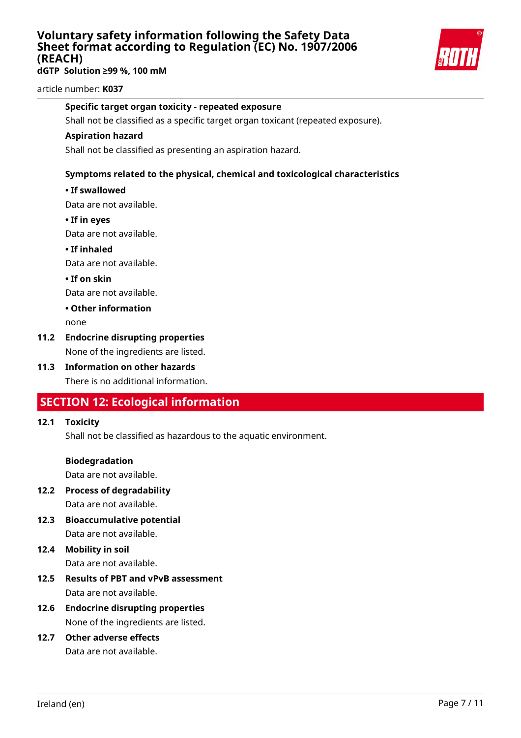**dGTP Solution ≥99 %, 100 mM**



article number: **K037**

#### **Specific target organ toxicity - repeated exposure**

Shall not be classified as a specific target organ toxicant (repeated exposure).

#### **Aspiration hazard**

Shall not be classified as presenting an aspiration hazard.

#### **Symptoms related to the physical, chemical and toxicological characteristics**

#### **• If swallowed**

Data are not available.

**• If in eyes**

Data are not available.

**• If inhaled**

Data are not available.

#### **• If on skin**

Data are not available.

#### **• Other information**

none

#### **11.2 Endocrine disrupting properties**

None of the ingredients are listed.

**11.3 Information on other hazards** There is no additional information.

### **SECTION 12: Ecological information**

#### **12.1 Toxicity**

Shall not be classified as hazardous to the aquatic environment.

#### **Biodegradation**

Data are not available.

- **12.2 Process of degradability** Data are not available.
- **12.3 Bioaccumulative potential** Data are not available.

# **12.4 Mobility in soil**

Data are not available.

- **12.5 Results of PBT and vPvB assessment** Data are not available.
- **12.6 Endocrine disrupting properties** None of the ingredients are listed.

### **12.7 Other adverse effects**

Data are not available.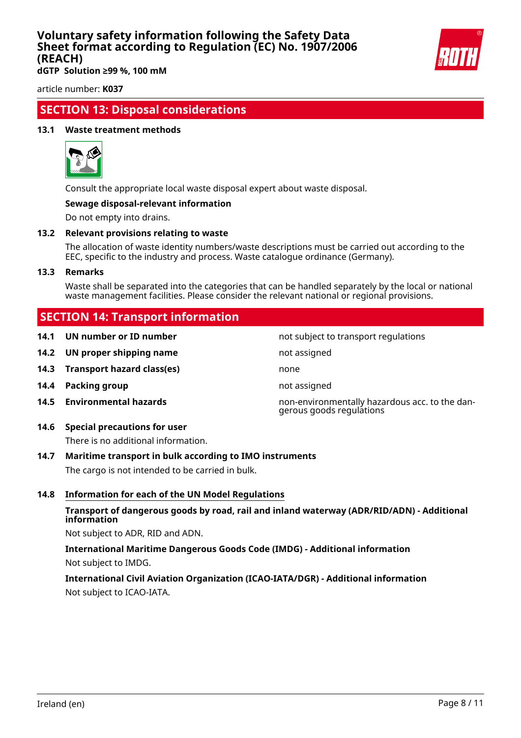

**dGTP Solution ≥99 %, 100 mM**

article number: **K037**

### **SECTION 13: Disposal considerations**

#### **13.1 Waste treatment methods**



Consult the appropriate local waste disposal expert about waste disposal.

#### **Sewage disposal-relevant information**

Do not empty into drains.

#### **13.2 Relevant provisions relating to waste**

The allocation of waste identity numbers/waste descriptions must be carried out according to the EEC, specific to the industry and process. Waste catalogue ordinance (Germany).

#### **13.3 Remarks**

Waste shall be separated into the categories that can be handled separately by the local or national waste management facilities. Please consider the relevant national or regional provisions.

not subject to transport regulations

gerous goods regulations

### **SECTION 14: Transport information**

| 14.1 UN number or ID number |  |  |  |
|-----------------------------|--|--|--|
|-----------------------------|--|--|--|

- **14.2 UN proper shipping name** not assigned
- **14.3 Transport hazard class(es)** none
- **14.4 Packing group not assigned**
- **14.5 Environmental hazards** non-environmentally hazardous acc. to the dan-

### **14.6 Special precautions for user**

There is no additional information.

#### **14.7 Maritime transport in bulk according to IMO instruments**

The cargo is not intended to be carried in bulk.

#### **14.8 Information for each of the UN Model Regulations**

#### **Transport of dangerous goods by road, rail and inland waterway (ADR/RID/ADN) - Additional information**

Not subject to ADR, RID and ADN.

**International Maritime Dangerous Goods Code (IMDG) - Additional information** Not subject to IMDG.

### **International Civil Aviation Organization (ICAO-IATA/DGR) - Additional information** Not subject to ICAO-IATA.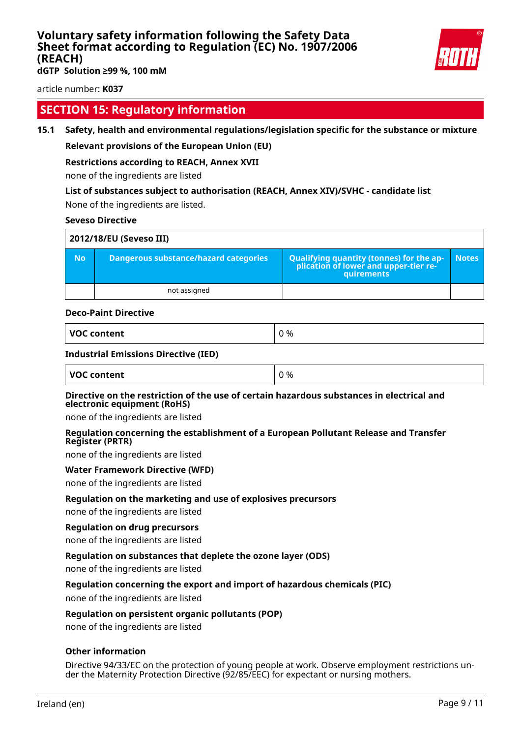

**dGTP Solution ≥99 %, 100 mM**

article number: **K037**

### **SECTION 15: Regulatory information**

#### **15.1 Safety, health and environmental regulations/legislation specific for the substance or mixture**

#### **Relevant provisions of the European Union (EU)**

#### **Restrictions according to REACH, Annex XVII**

none of the ingredients are listed

#### **List of substances subject to authorisation (REACH, Annex XIV)/SVHC - candidate list**

None of the ingredients are listed.

#### **Seveso Directive**

| 2012/18/EU (Seveso III) |                                       |                                                                                            |              |  |
|-------------------------|---------------------------------------|--------------------------------------------------------------------------------------------|--------------|--|
| <b>No</b>               | Dangerous substance/hazard categories | Qualifying quantity (tonnes) for the application of lower and upper-tier re-<br>quirements | <b>Notes</b> |  |
|                         | not assigned                          |                                                                                            |              |  |

#### **Deco-Paint Directive**

| VOC content |  |
|-------------|--|
|-------------|--|

#### **Industrial Emissions Directive (IED)**

| VOC content | 0 % |
|-------------|-----|
|-------------|-----|

#### **Directive on the restriction of the use of certain hazardous substances in electrical and electronic equipment (RoHS)**

none of the ingredients are listed

#### **Regulation concerning the establishment of a European Pollutant Release and Transfer Register (PRTR)**

none of the ingredients are listed

#### **Water Framework Directive (WFD)**

none of the ingredients are listed

#### **Regulation on the marketing and use of explosives precursors**

none of the ingredients are listed

#### **Regulation on drug precursors**

none of the ingredients are listed

#### **Regulation on substances that deplete the ozone layer (ODS)**

none of the ingredients are listed

#### **Regulation concerning the export and import of hazardous chemicals (PIC)**

none of the ingredients are listed

#### **Regulation on persistent organic pollutants (POP)**

none of the ingredients are listed

#### **Other information**

Directive 94/33/EC on the protection of young people at work. Observe employment restrictions under the Maternity Protection Directive (92/85/EEC) for expectant or nursing mothers.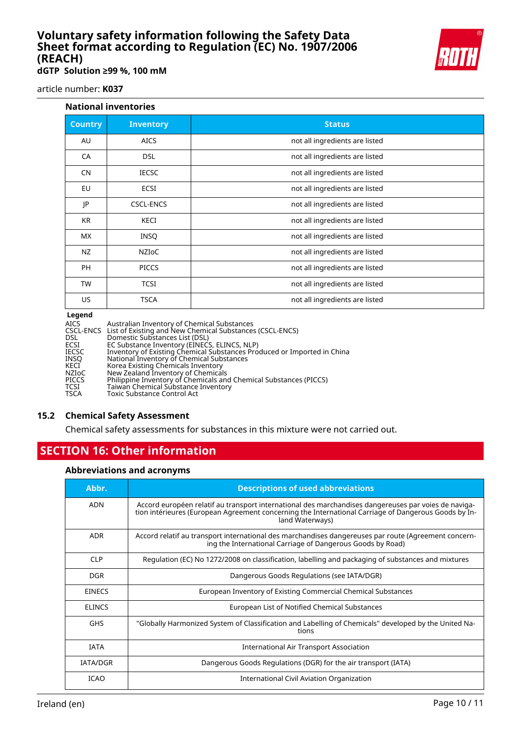**dGTP Solution ≥99 %, 100 mM**

article number: **K037**

#### **National inventories**

| <b>Country</b> | <b>Inventory</b> | <b>Status</b>                  |
|----------------|------------------|--------------------------------|
| AU             | <b>AICS</b>      | not all ingredients are listed |
| CA             | <b>DSL</b>       | not all ingredients are listed |
| <b>CN</b>      | <b>IECSC</b>     | not all ingredients are listed |
| EU             | <b>ECSI</b>      | not all ingredients are listed |
| JP             | <b>CSCL-ENCS</b> | not all ingredients are listed |
| <b>KR</b>      | <b>KECI</b>      | not all ingredients are listed |
| <b>MX</b>      | <b>INSQ</b>      | not all ingredients are listed |
| NZ             | <b>NZIOC</b>     | not all ingredients are listed |
| <b>PH</b>      | <b>PICCS</b>     | not all ingredients are listed |
| <b>TW</b>      | <b>TCSI</b>      | not all ingredients are listed |
| US             | <b>TSCA</b>      | not all ingredients are listed |

#### **Legend**

| <b>Legena</b> |                                                                         |  |
|---------------|-------------------------------------------------------------------------|--|
| <b>AICS</b>   | Australian Inventory of Chemical Substances                             |  |
|               | CSCL-ENCS List of Existing and New Chemical Substances (CSCL-ENCS)      |  |
| <b>DSL</b>    | Domestic Substances List (DSL)                                          |  |
| <b>ECSI</b>   | EC Substance Inventory (EINECS, ELINCS, NLP)                            |  |
| <b>IECSC</b>  | Inventory of Existing Chemical Substances Produced or Imported in China |  |
| INSO          | National Inventory of Chemical Substances                               |  |
| KECI          | Korea Existing Chemicals Inventory                                      |  |
| <b>NZIOC</b>  | New Zealand Inventory of Chemicals                                      |  |
| <b>PICCS</b>  | Philippine Inventory of Chemicals and Chemical Substances (PICCS)       |  |
| TCSI          | Taiwan Chemical Substance Inventory                                     |  |
| <b>TSCA</b>   | Toxic Substance Control Act                                             |  |
|               |                                                                         |  |

#### **15.2 Chemical Safety Assessment**

Chemical safety assessments for substances in this mixture were not carried out.

### **SECTION 16: Other information**

#### **Abbreviations and acronyms**

| Abbr.           | <b>Descriptions of used abbreviations</b>                                                                                                                                                                                       |  |  |
|-----------------|---------------------------------------------------------------------------------------------------------------------------------------------------------------------------------------------------------------------------------|--|--|
| <b>ADN</b>      | Accord européen relatif au transport international des marchandises dangereuses par voies de naviga-<br>tion intérieures (European Agreement concerning the International Carriage of Dangerous Goods by In-<br>land Waterways) |  |  |
| <b>ADR</b>      | Accord relatif au transport international des marchandises dangereuses par route (Agreement concern-<br>ing the International Carriage of Dangerous Goods by Road)                                                              |  |  |
| <b>CLP</b>      | Regulation (EC) No 1272/2008 on classification, labelling and packaging of substances and mixtures                                                                                                                              |  |  |
| <b>DGR</b>      | Dangerous Goods Regulations (see IATA/DGR)                                                                                                                                                                                      |  |  |
| <b>EINECS</b>   | European Inventory of Existing Commercial Chemical Substances                                                                                                                                                                   |  |  |
| <b>ELINCS</b>   | European List of Notified Chemical Substances                                                                                                                                                                                   |  |  |
| <b>GHS</b>      | "Globally Harmonized System of Classification and Labelling of Chemicals" developed by the United Na-<br>tions                                                                                                                  |  |  |
| <b>IATA</b>     | International Air Transport Association                                                                                                                                                                                         |  |  |
| <b>IATA/DGR</b> | Dangerous Goods Regulations (DGR) for the air transport (IATA)                                                                                                                                                                  |  |  |
| <b>ICAO</b>     | International Civil Aviation Organization                                                                                                                                                                                       |  |  |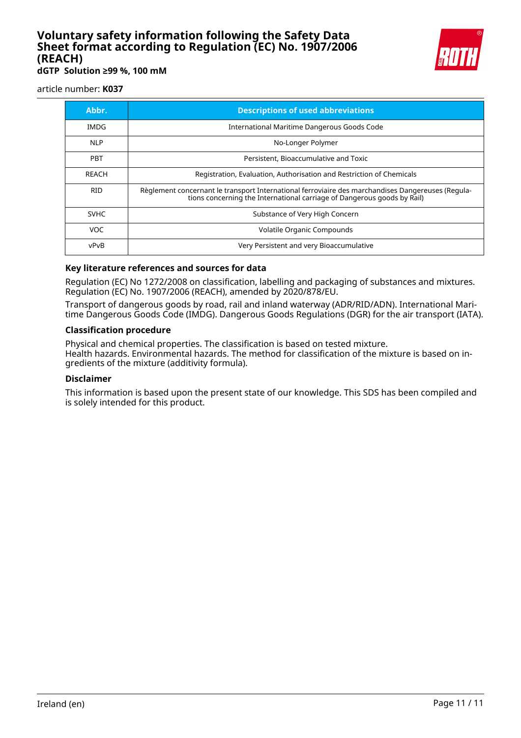

**dGTP Solution ≥99 %, 100 mM**

article number: **K037**

| Abbr.       | <b>Descriptions of used abbreviations</b>                                                                                                                                    |  |  |
|-------------|------------------------------------------------------------------------------------------------------------------------------------------------------------------------------|--|--|
| IMDG        | International Maritime Dangerous Goods Code                                                                                                                                  |  |  |
| <b>NLP</b>  | No-Longer Polymer                                                                                                                                                            |  |  |
| <b>PBT</b>  | Persistent, Bioaccumulative and Toxic                                                                                                                                        |  |  |
| REACH       | Registration, Evaluation, Authorisation and Restriction of Chemicals                                                                                                         |  |  |
| <b>RID</b>  | Règlement concernant le transport International ferroviaire des marchandises Dangereuses (Regula-<br>tions concerning the International carriage of Dangerous goods by Rail) |  |  |
| <b>SVHC</b> | Substance of Very High Concern                                                                                                                                               |  |  |
| VOC.        | Volatile Organic Compounds                                                                                                                                                   |  |  |
| vPvB        | Very Persistent and very Bioaccumulative                                                                                                                                     |  |  |

#### **Key literature references and sources for data**

Regulation (EC) No 1272/2008 on classification, labelling and packaging of substances and mixtures. Regulation (EC) No. 1907/2006 (REACH), amended by 2020/878/EU.

Transport of dangerous goods by road, rail and inland waterway (ADR/RID/ADN). International Maritime Dangerous Goods Code (IMDG). Dangerous Goods Regulations (DGR) for the air transport (IATA).

#### **Classification procedure**

Physical and chemical properties. The classification is based on tested mixture. Health hazards. Environmental hazards. The method for classification of the mixture is based on ingredients of the mixture (additivity formula).

#### **Disclaimer**

This information is based upon the present state of our knowledge. This SDS has been compiled and is solely intended for this product.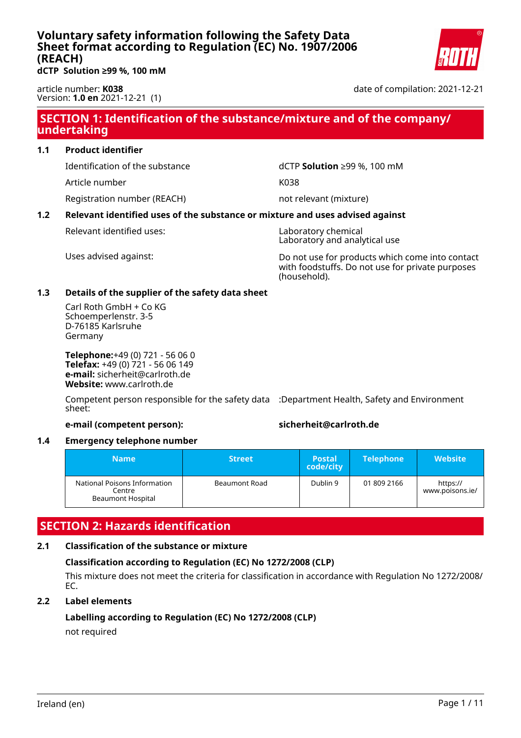

<span id="page-35-0"></span>**dCTP Solution ≥99 %, 100 mM**

article number: **K038** Version: **1.0 en** 2021-12-21 (1) date of compilation: 2021-12-21

### **SECTION 1: Identification of the substance/mixture and of the company/ undertaking**

#### **1.1 Product identifier**

Identification of the substance dCTP **Solution** ≥99 %, 100 mM

Article number K038

Registration number (REACH) not relevant (mixture)

### **1.2 Relevant identified uses of the substance or mixture and uses advised against**

Relevant identified uses: Naboratory chemical

Laboratory and analytical use

Uses advised against: Do not use for products which come into contact with foodstuffs. Do not use for private purposes (household).

#### **1.3 Details of the supplier of the safety data sheet**

Carl Roth GmbH + Co KG Schoemperlenstr. 3-5 D-76185 Karlsruhe Germany

**Telephone:**+49 (0) 721 - 56 06 0 **Telefax:** +49 (0) 721 - 56 06 149 **e-mail:** sicherheit@carlroth.de **Website:** www.carlroth.de

Competent person responsible for the safety data :Department Health, Safety and Environment sheet:

#### **e-mail (competent person): sicherheit@carlroth.de**

#### **1.4 Emergency telephone number**

| Name                                                               | <b>Street</b> | <b>Postal</b><br>code/city | <b>Telephone</b> | <b>Website</b>              |
|--------------------------------------------------------------------|---------------|----------------------------|------------------|-----------------------------|
| National Poisons Information<br>Centre<br><b>Beaumont Hospital</b> | Beaumont Road | Dublin 9                   | 01 809 2166      | https://<br>www.poisons.ie/ |

### **SECTION 2: Hazards identification**

#### **2.1 Classification of the substance or mixture**

### **Classification according to Regulation (EC) No 1272/2008 (CLP)**

This mixture does not meet the criteria for classification in accordance with Regulation No 1272/2008/ EC.

#### **2.2 Label elements**

#### **Labelling according to Regulation (EC) No 1272/2008 (CLP)** not required

Ireland (en) Page 1 / 11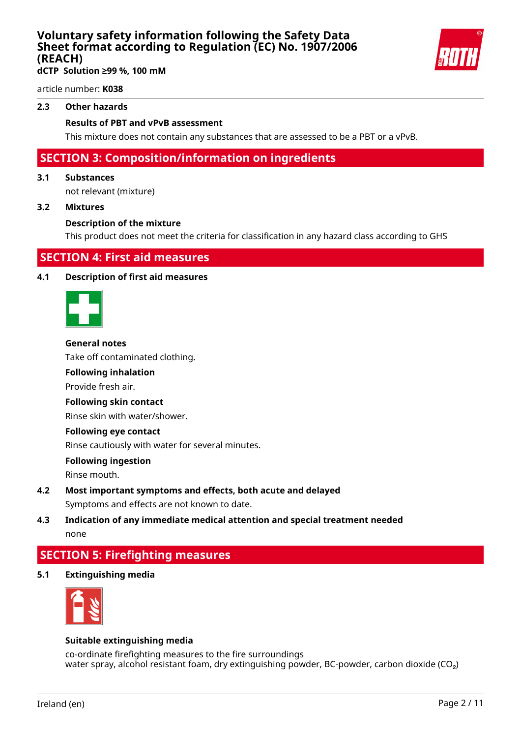

article number: **K038**

#### **2.3 Other hazards**

#### **Results of PBT and vPvB assessment**

This mixture does not contain any substances that are assessed to be a PBT or a vPvB.

### **SECTION 3: Composition/information on ingredients**

#### **3.1 Substances**

not relevant (mixture)

#### **3.2 Mixtures**

#### **Description of the mixture**

This product does not meet the criteria for classification in any hazard class according to GHS

### **SECTION 4: First aid measures**

#### **4.1 Description of first aid measures**



#### **General notes**

Take off contaminated clothing.

#### **Following inhalation**

Provide fresh air.

#### **Following skin contact**

Rinse skin with water/shower.

#### **Following eye contact**

Rinse cautiously with water for several minutes.

#### **Following ingestion**

Rinse mouth.

**4.2 Most important symptoms and effects, both acute and delayed** Symptoms and effects are not known to date.

### **4.3 Indication of any immediate medical attention and special treatment needed** none

### **SECTION 5: Firefighting measures**

**5.1 Extinguishing media**



#### **Suitable extinguishing media**

co-ordinate firefighting measures to the fire surroundings water spray, alcohol resistant foam, dry extinguishing powder, BC-powder, carbon dioxide ( $CO<sub>2</sub>$ )

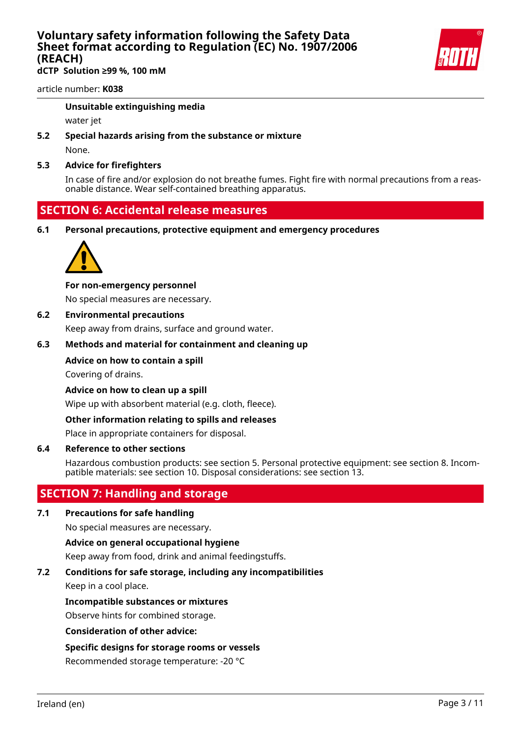**dCTP Solution ≥99 %, 100 mM**



#### article number: **K038**

#### **Unsuitable extinguishing media**

water jet

**5.2 Special hazards arising from the substance or mixture**

None.

#### **5.3 Advice for firefighters**

In case of fire and/or explosion do not breathe fumes. Fight fire with normal precautions from a reasonable distance. Wear self-contained breathing apparatus.

### **SECTION 6: Accidental release measures**

**6.1 Personal precautions, protective equipment and emergency procedures**



#### **For non-emergency personnel**

No special measures are necessary.

#### **6.2 Environmental precautions**

Keep away from drains, surface and ground water.

#### **6.3 Methods and material for containment and cleaning up**

#### **Advice on how to contain a spill**

Covering of drains.

**Advice on how to clean up a spill**

Wipe up with absorbent material (e.g. cloth, fleece).

#### **Other information relating to spills and releases**

Place in appropriate containers for disposal.

#### **6.4 Reference to other sections**

Hazardous combustion products: see section 5. Personal protective equipment: see section 8. Incompatible materials: see section 10. Disposal considerations: see section 13.

### **SECTION 7: Handling and storage**

#### **7.1 Precautions for safe handling**

No special measures are necessary.

#### **Advice on general occupational hygiene**

Keep away from food, drink and animal feedingstuffs.

#### **7.2 Conditions for safe storage, including any incompatibilities**

Keep in a cool place.

#### **Incompatible substances or mixtures**

Observe hints for combined storage.

#### **Consideration of other advice:**

#### **Specific designs for storage rooms or vessels**

Recommended storage temperature: -20 °C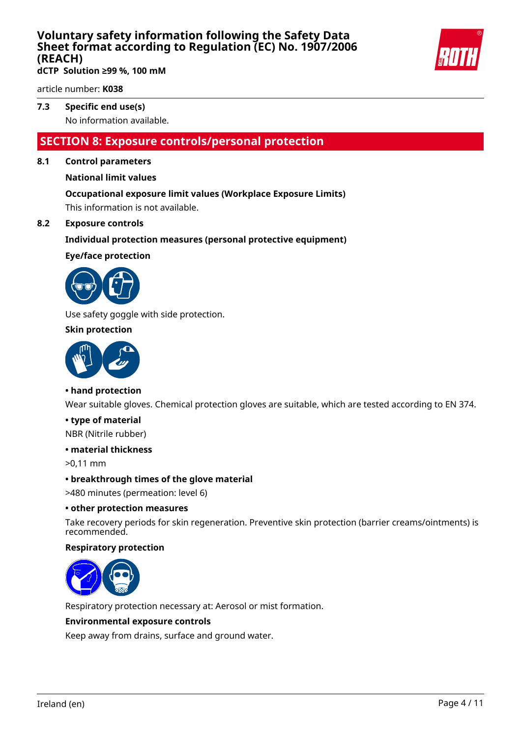

**dCTP Solution ≥99 %, 100 mM**

article number: **K038**

### **7.3 Specific end use(s)**

No information available.

### **SECTION 8: Exposure controls/personal protection**

#### **8.1 Control parameters**

#### **National limit values**

#### **Occupational exposure limit values (Workplace Exposure Limits)**

This information is not available.

#### **8.2 Exposure controls**

#### **Individual protection measures (personal protective equipment)**

#### **Eye/face protection**



Use safety goggle with side protection.

#### **Skin protection**



#### **• hand protection**

Wear suitable gloves. Chemical protection gloves are suitable, which are tested according to EN 374.

#### **• type of material**

NBR (Nitrile rubber)

#### **• material thickness**

>0,11 mm

#### **• breakthrough times of the glove material**

>480 minutes (permeation: level 6)

#### **• other protection measures**

Take recovery periods for skin regeneration. Preventive skin protection (barrier creams/ointments) is recommended.

#### **Respiratory protection**



Respiratory protection necessary at: Aerosol or mist formation.

#### **Environmental exposure controls**

Keep away from drains, surface and ground water.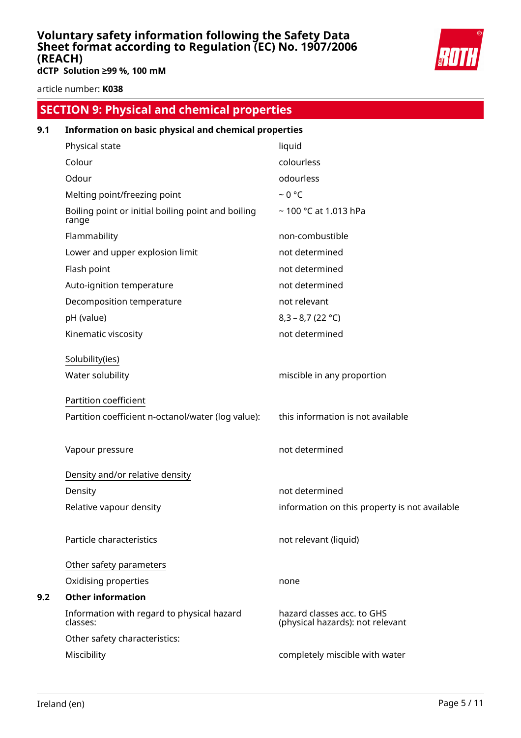

**dCTP Solution ≥99 %, 100 mM**

article number: **K038**

# **SECTION 9: Physical and chemical properties**

| 9.1 | Information on basic physical and chemical properties       |                                                                |  |  |
|-----|-------------------------------------------------------------|----------------------------------------------------------------|--|--|
|     | Physical state                                              | liquid                                                         |  |  |
|     | Colour                                                      | colourless                                                     |  |  |
|     | Odour                                                       | odourless                                                      |  |  |
|     | Melting point/freezing point                                | $~0$ °C                                                        |  |  |
|     | Boiling point or initial boiling point and boiling<br>range | $\sim$ 100 °C at 1.013 hPa                                     |  |  |
|     | Flammability                                                | non-combustible                                                |  |  |
|     | Lower and upper explosion limit                             | not determined                                                 |  |  |
|     | Flash point                                                 | not determined                                                 |  |  |
|     | Auto-ignition temperature                                   | not determined                                                 |  |  |
|     | Decomposition temperature                                   | not relevant                                                   |  |  |
|     | pH (value)                                                  | $8,3 - 8,7 (22 °C)$                                            |  |  |
|     | Kinematic viscosity                                         | not determined                                                 |  |  |
|     | Solubility(ies)                                             |                                                                |  |  |
|     | Water solubility                                            | miscible in any proportion                                     |  |  |
|     | Partition coefficient                                       |                                                                |  |  |
|     | Partition coefficient n-octanol/water (log value):          | this information is not available                              |  |  |
|     | Vapour pressure                                             | not determined                                                 |  |  |
|     | Density and/or relative density                             |                                                                |  |  |
|     | Density                                                     | not determined                                                 |  |  |
|     | Relative vapour density                                     | information on this property is not available                  |  |  |
|     | Particle characteristics                                    | not relevant (liquid)                                          |  |  |
|     | Other safety parameters                                     |                                                                |  |  |
|     | Oxidising properties                                        | none                                                           |  |  |
| 9.2 | <b>Other information</b>                                    |                                                                |  |  |
|     | Information with regard to physical hazard<br>classes:      | hazard classes acc. to GHS<br>(physical hazards): not relevant |  |  |
|     | Other safety characteristics:                               |                                                                |  |  |
|     | Miscibility                                                 | completely miscible with water                                 |  |  |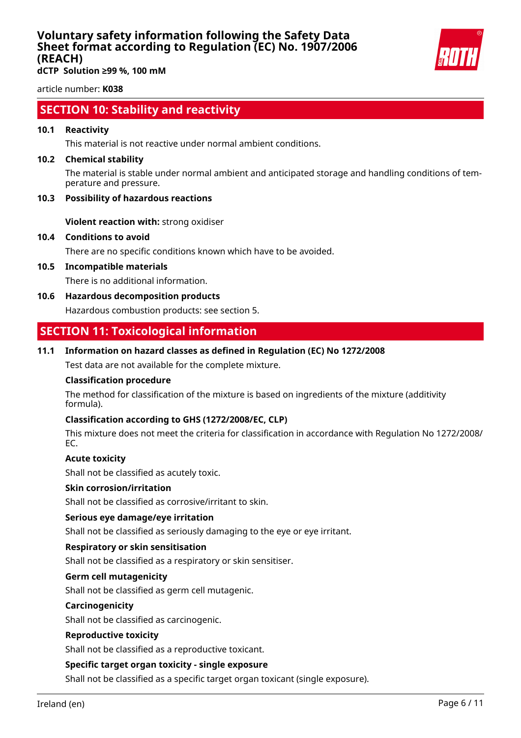

**dCTP Solution ≥99 %, 100 mM**

article number: **K038**

### **SECTION 10: Stability and reactivity**

#### **10.1 Reactivity**

This material is not reactive under normal ambient conditions.

#### **10.2 Chemical stability**

The material is stable under normal ambient and anticipated storage and handling conditions of temperature and pressure.

#### **10.3 Possibility of hazardous reactions**

**Violent reaction with:** strong oxidiser

#### **10.4 Conditions to avoid**

There are no specific conditions known which have to be avoided.

**10.5 Incompatible materials**

There is no additional information.

**10.6 Hazardous decomposition products**

Hazardous combustion products: see section 5.

### **SECTION 11: Toxicological information**

#### **11.1 Information on hazard classes as defined in Regulation (EC) No 1272/2008**

Test data are not available for the complete mixture.

#### **Classification procedure**

The method for classification of the mixture is based on ingredients of the mixture (additivity formula).

#### **Classification according to GHS (1272/2008/EC, CLP)**

This mixture does not meet the criteria for classification in accordance with Regulation No 1272/2008/ EC.

#### **Acute toxicity**

Shall not be classified as acutely toxic.

#### **Skin corrosion/irritation**

Shall not be classified as corrosive/irritant to skin.

#### **Serious eye damage/eye irritation**

Shall not be classified as seriously damaging to the eye or eye irritant.

#### **Respiratory or skin sensitisation**

Shall not be classified as a respiratory or skin sensitiser.

#### **Germ cell mutagenicity**

Shall not be classified as germ cell mutagenic.

#### **Carcinogenicity**

Shall not be classified as carcinogenic.

#### **Reproductive toxicity**

Shall not be classified as a reproductive toxicant.

#### **Specific target organ toxicity - single exposure**

Shall not be classified as a specific target organ toxicant (single exposure).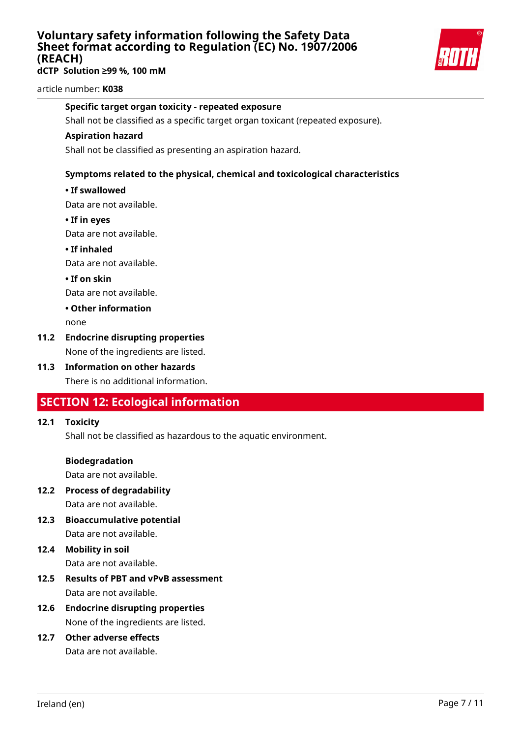**dCTP Solution ≥99 %, 100 mM**



article number: **K038**

#### **Specific target organ toxicity - repeated exposure**

Shall not be classified as a specific target organ toxicant (repeated exposure).

#### **Aspiration hazard**

Shall not be classified as presenting an aspiration hazard.

#### **Symptoms related to the physical, chemical and toxicological characteristics**

#### **• If swallowed**

Data are not available.

**• If in eyes**

Data are not available.

**• If inhaled**

Data are not available.

**• If on skin**

Data are not available.

#### **• Other information**

none

### **11.2 Endocrine disrupting properties**

None of the ingredients are listed.

**11.3 Information on other hazards** There is no additional information.

### **SECTION 12: Ecological information**

#### **12.1 Toxicity**

Shall not be classified as hazardous to the aquatic environment.

#### **Biodegradation**

Data are not available.

- **12.2 Process of degradability** Data are not available.
- **12.3 Bioaccumulative potential** Data are not available.

# **12.4 Mobility in soil**

Data are not available.

- **12.5 Results of PBT and vPvB assessment** Data are not available.
- **12.6 Endocrine disrupting properties** None of the ingredients are listed.

## **12.7 Other adverse effects**

Data are not available.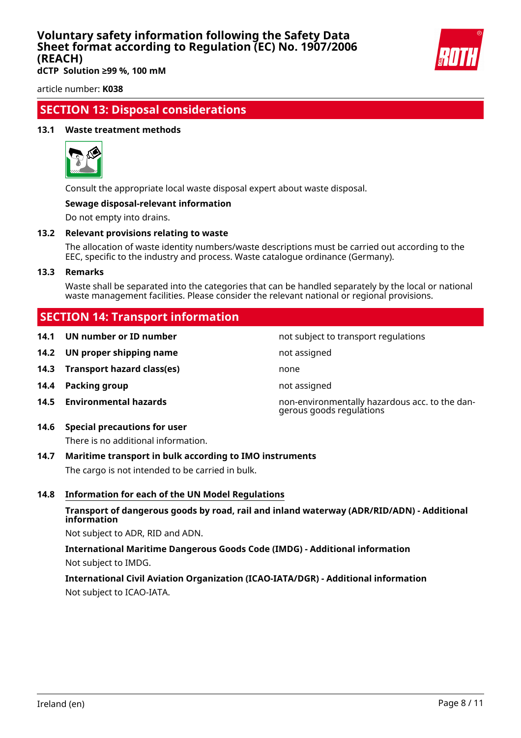

**dCTP Solution ≥99 %, 100 mM**

article number: **K038**

### **SECTION 13: Disposal considerations**

#### **13.1 Waste treatment methods**



Consult the appropriate local waste disposal expert about waste disposal.

#### **Sewage disposal-relevant information**

Do not empty into drains.

#### **13.2 Relevant provisions relating to waste**

The allocation of waste identity numbers/waste descriptions must be carried out according to the EEC, specific to the industry and process. Waste catalogue ordinance (Germany).

#### **13.3 Remarks**

Waste shall be separated into the categories that can be handled separately by the local or national waste management facilities. Please consider the relevant national or regional provisions.

### **SECTION 14: Transport information**

| 14.1 |  | UN number or ID number |  |  |
|------|--|------------------------|--|--|
|------|--|------------------------|--|--|

- **14.2 UN proper shipping name** not assigned
- **14.3 Transport hazard class(es)** none
- **14.4 Packing group not assigned**
- 

### **14.6 Special precautions for user**

There is no additional information.

#### **14.7 Maritime transport in bulk according to IMO instruments**

The cargo is not intended to be carried in bulk.

#### **14.8 Information for each of the UN Model Regulations**

#### **Transport of dangerous goods by road, rail and inland waterway (ADR/RID/ADN) - Additional information**

Not subject to ADR, RID and ADN.

**International Maritime Dangerous Goods Code (IMDG) - Additional information** Not subject to IMDG.

### **International Civil Aviation Organization (ICAO-IATA/DGR) - Additional information** Not subject to ICAO-IATA.

not subject to transport regulations

**14.5 Environmental hazards** non-environmentally hazardous acc. to the dangerous goods regulations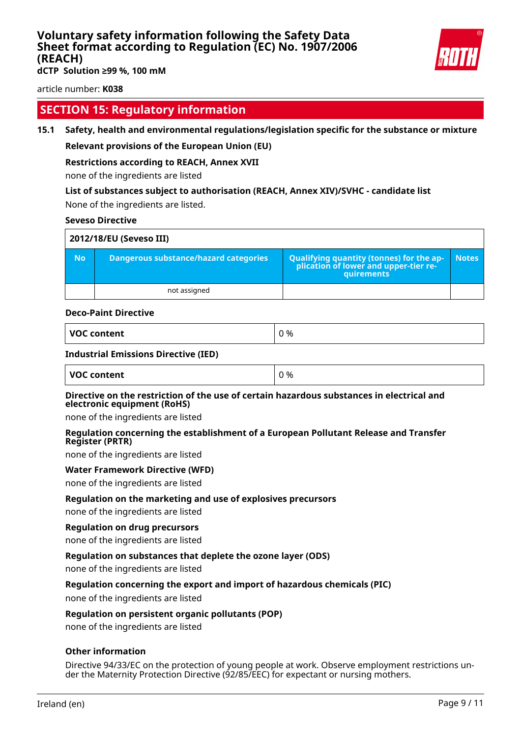

**dCTP Solution ≥99 %, 100 mM**

article number: **K038**

### **SECTION 15: Regulatory information**

#### **15.1 Safety, health and environmental regulations/legislation specific for the substance or mixture**

#### **Relevant provisions of the European Union (EU)**

#### **Restrictions according to REACH, Annex XVII**

none of the ingredients are listed

#### **List of substances subject to authorisation (REACH, Annex XIV)/SVHC - candidate list**

None of the ingredients are listed.

#### **Seveso Directive**

| 2012/18/EU (Seveso III) |                                       |                                                                                            |              |  |
|-------------------------|---------------------------------------|--------------------------------------------------------------------------------------------|--------------|--|
| <b>No</b>               | Dangerous substance/hazard categories | Qualifying quantity (tonnes) for the application of lower and upper-tier re-<br>quirements | <b>Notes</b> |  |
|                         | not assigned                          |                                                                                            |              |  |

#### **Deco-Paint Directive**

| VOC content |  |
|-------------|--|
|-------------|--|

#### **Industrial Emissions Directive (IED)**

| <b>VOC content</b> | 0% |
|--------------------|----|
|                    |    |

#### **Directive on the restriction of the use of certain hazardous substances in electrical and electronic equipment (RoHS)**

none of the ingredients are listed

#### **Regulation concerning the establishment of a European Pollutant Release and Transfer Register (PRTR)**

none of the ingredients are listed

#### **Water Framework Directive (WFD)**

none of the ingredients are listed

#### **Regulation on the marketing and use of explosives precursors**

none of the ingredients are listed

#### **Regulation on drug precursors**

none of the ingredients are listed

#### **Regulation on substances that deplete the ozone layer (ODS)**

none of the ingredients are listed

#### **Regulation concerning the export and import of hazardous chemicals (PIC)**

none of the ingredients are listed

#### **Regulation on persistent organic pollutants (POP)**

none of the ingredients are listed

#### **Other information**

Directive 94/33/EC on the protection of young people at work. Observe employment restrictions under the Maternity Protection Directive (92/85/EEC) for expectant or nursing mothers.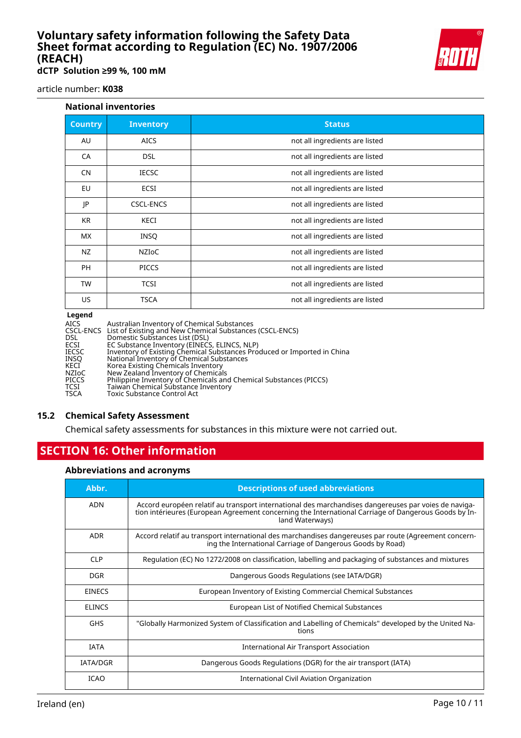

**dCTP Solution ≥99 %, 100 mM**

article number: **K038**

#### **National inventories**

| <b>Country</b> | <b>Inventory</b> | <b>Status</b>                  |
|----------------|------------------|--------------------------------|
| AU             | <b>AICS</b>      | not all ingredients are listed |
| CA             | <b>DSL</b>       | not all ingredients are listed |
| <b>CN</b>      | <b>IECSC</b>     | not all ingredients are listed |
| EU             | ECSI             | not all ingredients are listed |
| JP             | <b>CSCL-ENCS</b> | not all ingredients are listed |
| <b>KR</b>      | KECI             | not all ingredients are listed |
| МX             | <b>INSQ</b>      | not all ingredients are listed |
| NZ             | NZIOC            | not all ingredients are listed |
| <b>PH</b>      | <b>PICCS</b>     | not all ingredients are listed |
| <b>TW</b>      | <b>TCSI</b>      | not all ingredients are listed |
| <b>US</b>      | <b>TSCA</b>      | not all ingredients are listed |
|                |                  |                                |

#### **Legend**

| Australian Inventory of Chemical Substances                             |
|-------------------------------------------------------------------------|
| CSCL-ENCS List of Existing and New Chemical Substances (CSCL-ENCS)      |
| Domestic Substances List (DSL)                                          |
| EC Substance Inventory (EINECS, ELINCS, NLP)                            |
| Inventory of Existing Chemical Substances Produced or Imported in China |
| National Inventory of Chemical Substances                               |
| Korea Existing Chemicals Inventory                                      |
| New Zealand Inventory of Chemicals                                      |
| Philippine Inventory of Chemicals and Chemical Substances (PICCS)       |
| Taiwan Chemical Substance Inventory                                     |
| <b>Toxic Substance Control Act</b>                                      |
|                                                                         |

#### **15.2 Chemical Safety Assessment**

Chemical safety assessments for substances in this mixture were not carried out.

### **SECTION 16: Other information**

#### **Abbreviations and acronyms**

| Abbr.           | <b>Descriptions of used abbreviations</b>                                                                                                                                                                                       |
|-----------------|---------------------------------------------------------------------------------------------------------------------------------------------------------------------------------------------------------------------------------|
| <b>ADN</b>      | Accord européen relatif au transport international des marchandises dangereuses par voies de naviga-<br>tion intérieures (European Agreement concerning the International Carriage of Dangerous Goods by In-<br>land Waterways) |
| <b>ADR</b>      | Accord relatif au transport international des marchandises dangereuses par route (Agreement concern-<br>ing the International Carriage of Dangerous Goods by Road)                                                              |
| <b>CLP</b>      | Regulation (EC) No 1272/2008 on classification, labelling and packaging of substances and mixtures                                                                                                                              |
| <b>DGR</b>      | Dangerous Goods Regulations (see IATA/DGR)                                                                                                                                                                                      |
| <b>EINECS</b>   | European Inventory of Existing Commercial Chemical Substances                                                                                                                                                                   |
| <b>ELINCS</b>   | European List of Notified Chemical Substances                                                                                                                                                                                   |
| <b>GHS</b>      | "Globally Harmonized System of Classification and Labelling of Chemicals" developed by the United Na-<br>tions                                                                                                                  |
| <b>IATA</b>     | International Air Transport Association                                                                                                                                                                                         |
| <b>IATA/DGR</b> | Dangerous Goods Regulations (DGR) for the air transport (IATA)                                                                                                                                                                  |
| <b>ICAO</b>     | International Civil Aviation Organization                                                                                                                                                                                       |